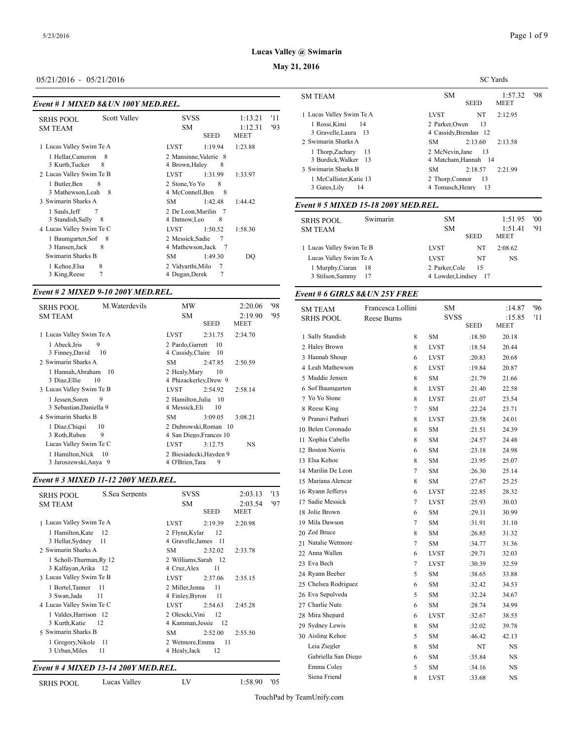#### **May 21, 2016**

#### 05/21/2016 - 05/21/2016

#### *Event # 1 MIXED 8&UN 100Y MED.REL.*

| <b>Scott Valley</b><br><b>SRHS POOL</b><br><b>SM TEAM</b>                                                                                                | <b>SVSS</b><br>SM<br><b>SEED</b>                                                                                                            | 1:13.21<br>1:12.31<br><b>MEET</b> | '11<br>93 | 1 Lucas Valley Sw<br>1 Rossi, Kimi<br>3 Gravelle, Lau                                                         |
|----------------------------------------------------------------------------------------------------------------------------------------------------------|---------------------------------------------------------------------------------------------------------------------------------------------|-----------------------------------|-----------|---------------------------------------------------------------------------------------------------------------|
| 1 Lucas Valley Swim Te A<br>1 Hellar, Cameron<br>- 8<br>3 Kurth, Tucker<br>8<br>2 Lucas Valley Swim Te B<br>1 Butler, Ben<br>8<br>3 Mathewson, Leah<br>8 | 1:19.94<br><b>LVST</b><br>2 Mansinne, Valerie 8<br>4 Brown, Haley<br>8<br>1:31.99<br>LVST<br>2 Stone, Yo Yo<br>8<br>4 McConnell, Ben<br>- 8 | 1:23.88<br>1:33.97                |           | 2 Swimarin Shark<br>1 Thorp, Zacha<br>3 Burdick, Wall<br>3 Swimarin Shark<br>1 McCallister.I<br>3 Gates, Lily |
| 3 Swimarin Sharks A<br>1 Sauls, Jeff<br>7                                                                                                                | SM<br>1:42.48<br>2 De Leon.Marilin 7                                                                                                        | 1:44.42                           |           | Event # 5 MIXE                                                                                                |
| 3 Standish, Sally<br>8<br>4 Lucas Valley Swim Te C<br>1 Baumgarten, Sof<br>- 8                                                                           | 8<br>4 Datnow, Leo<br>1:50.52<br><b>LVST</b><br>$7\phantom{.0}$<br>2 Messick, Sadie                                                         | 1:58.30                           |           | <b>SRHS POOL</b><br><b>SM TEAM</b>                                                                            |
| 3 Hansen, Jack<br>8<br>Swimarin Sharks B<br>8<br>1 Kehoe Elsa<br>7<br>3 King, Reese                                                                      | 4 Mathewson, Jack<br>- 7<br>SM<br>1:49.30<br>2 Vidyarthi, Milo<br>7<br>7<br>4 Dugan, Derek                                                  | DO                                |           | 1 Lucas Valley Sw<br>Lucas Valley Sw<br>1 Murphy, Ciar<br>3 Stilson, Samn                                     |

## *Event # 2 MIXED 9-10 200Y MED.REL.*

| <b>SRHS POOL</b><br><b>SM TEAM</b>              | M. Waterdevils | MW<br><b>SM</b><br><b>SEED</b>                | 2:20.06<br>2:19.90<br><b>MEET</b> | '98<br>'95 | <b>SM TEAM</b><br><b>SRHS POOL</b> |
|-------------------------------------------------|----------------|-----------------------------------------------|-----------------------------------|------------|------------------------------------|
| 1 Lucas Valley Swim Te A                        | <b>LVST</b>    | 2:31.75                                       | 2:34.70                           |            | 1 Sally Standish                   |
| 9<br>1 Abeck, Iris                              |                | 2 Pardo, Garrett<br>10                        |                                   |            | 2 Haley Brown                      |
| 3 Finney, David<br>10                           |                | 4 Cassidy, Claire<br>10                       |                                   |            | 3 Hannah Shoup                     |
| 2 Swimarin Sharks A                             | <b>SM</b>      | 2:47.85                                       | 2:50.59                           |            | 4 Leah Mathewso                    |
| 1 Hannah, Abraham<br>-10<br>3 Diaz, Ellie<br>10 |                | 2 Healy, Mary<br>10<br>4 Phizackerley, Drew 9 |                                   |            | 5 Maddie Jensen                    |
| 3 Lucas Valley Swim Te B                        | <b>LVST</b>    | 2:54.92                                       | 2:58.14                           |            | 6 Sof Baumgarten                   |
| 9<br>1 Jessen, Soren                            |                | 2 Hamilton.Julia<br>10                        |                                   |            | 7 Yo Yo Stone                      |
| 3 Sebastian, Daniella 9                         |                | 10<br>4 Messick.Eli                           |                                   |            | 8 Reese King                       |
| 4 Swimarin Sharks B                             | <b>SM</b>      | 3:09.05                                       | 3:08.21                           |            | 9 Pranavi Pathuri                  |
| 1 Diaz, Chiqui<br>10                            |                | 2 Dubrowski.Roman 10                          |                                   |            | 10 Belen Coronado                  |
| 9<br>3 Roth, Ruben                              |                | 4 San Diego, Frances 10                       |                                   |            | 11 Xophia Cabello                  |
| Lucas Valley Swim Te C                          | <b>LVST</b>    | 3:12.75                                       | NS.                               |            | 12 Boston Norris                   |
| 1 Hamilton, Nick<br>10                          |                | 2 Biesiadecki.Havden 9                        |                                   |            | 13 Elsa Kehoe                      |
| 3 Jaroszewski, Anya 9                           |                | 9<br>4 O'Brien, Tara                          |                                   |            |                                    |

#### *Event # 3 MIXED 11-12 200Y MED.REL.*

| S.Sea Serpents<br><b>SRHS POOL</b>               | <b>SVSS</b>                              | 2:03.13 | '13 | 16 Ryann Jefferys  |
|--------------------------------------------------|------------------------------------------|---------|-----|--------------------|
| <b>SM TEAM</b>                                   | <b>SM</b>                                | 2:03.54 | '97 | 17 Sadie Messick   |
|                                                  | <b>SEED</b>                              | MEET    |     | 18 Jolie Brown     |
| 1 Lucas Valley Swim Te A                         | 2:19.39<br><b>LVST</b>                   | 2:20.98 |     | 19 Mila Dawson     |
| 1 Hamilton, Kate<br>-12                          | 2 Flynn, Kylar<br>12                     |         |     | 20 Zoë Bruce       |
| 3 Hellar, Sydney<br>-11                          | 4 Gravelle, James<br>- 11                |         |     | 21 Natalie Wetmore |
| 2 Swimarin Sharks A                              | SM.<br>2:32.02                           | 2:33.78 |     | 22 Anna Wallen     |
| 1 Scholl-Thurman, Ry 12                          | 2 Williams, Sarah 12                     |         |     | 23 Eva Bech        |
| 3 Kalfayan, Arika 12<br>3 Lucas Valley Swim Te B | 4 Cruz, Alex<br>11                       |         |     | 24 Ryann Beeber    |
| -11                                              | <b>LVST</b><br>2:37.06<br>11             | 2:35.15 |     | 25 Chelsea Rodrigu |
| 1 Bortel, Tanner<br>3 Swan, Jada<br>11           | 2 Miller, Jenna<br>4 Finley, Byron<br>11 |         |     | 26 Eva Sepulveda   |
| 4 Lucas Valley Swim Te C                         | <b>LVST</b><br>2:54.63                   | 2:45.28 |     | 27 Charlie Nute    |
| 1 Valdes, Harrison 12                            | 2 Olescki, Vini<br>12                    |         |     | 28 Mira Shepard    |
| 3 Kurth, Katie<br>12                             | 4 Kamman.Jessie<br>- 12                  |         |     | 29 Sydney Lewis    |
| 5 Swimarin Sharks B                              | SМ<br>2:52.00                            | 2:55.50 |     | 30 Aisling Kehoe   |
| 1 Gregory, Nikole<br>- 11                        | 2 Wetmore, Emma<br>11                    |         |     | Leia Ziegler       |
| 3 Urban, Miles<br>11                             | 4 Healy, Jack<br>12                      |         |     | Gabriella San D    |

#### *Event # 4 MIXED 13-14 200Y MED.REL.*

SRHS POOL Lucas Valley LV 1:58.90 '05

SC Yards SM 1:57.32 '98<br>SEED MEET MEET  ${\sf MEET}$ 1 Lucas Valley Swim Te A LVST NT 2:12.95 Rossi,Kimi 14 2 Parker,Owen 13 Gravelle,Laura 13 4 Cassidy,Brendan 12 Swimarin Sharks A SM 2:13.60 2:13.58 Thorp,Zachary 13 2 McNevin,Jane 13 Burdick,Walker 13 4 Matcham,Hannah 14 SM 2:18.57 2:21.99 McCallister,Katie 13 2 Thorp,Connor 13 3 Gates, Lily 14 4 Tomasch, Henry 13

#### *Event # 5 MIXED 15-18 200Y MED.REL.*

| <b>SRHS POOL</b>         | Swimarin | SM.               |             | 1:51.95 | '00 |
|--------------------------|----------|-------------------|-------------|---------|-----|
| <b>SM TEAM</b>           |          | SM.               | <b>SEED</b> |         | '91 |
| 1 Lucas Valley Swim Te B |          | <b>LVST</b>       | NT          | 2:08.62 |     |
| Lucas Valley Swim Te A   |          | <b>LVST</b>       | NT          | NS      |     |
| 1 Murphy, Ciaran 18      |          | 2 Parker, Cole    | 15          |         |     |
| 3 Stilson, Sammy         | 17       | 4 Lowder, Lindsey | - 17        |         |     |

#### *Event # 6 GIRLS 8&UN 25Y FREE*

| <b>SM TEAM</b>       | Francesca Lollini | <b>SM</b>   |                            | :14.87                | 96  |
|----------------------|-------------------|-------------|----------------------------|-----------------------|-----|
| <b>SRHS POOL</b>     | Reese Burns       |             | <b>SVSS</b><br><b>SEED</b> | :15.85<br><b>MEET</b> | '11 |
|                      |                   |             |                            |                       |     |
| 1 Sally Standish     | 8                 | <b>SM</b>   | :18.50                     | 20.18                 |     |
| 2 Haley Brown        | 8                 | <b>LVST</b> | :18.54                     | 20.44                 |     |
| 3 Hannah Shoup       | 6                 | <b>LVST</b> | :20.83                     | 20.68                 |     |
| 4 Leah Mathewson     | 8                 | <b>LVST</b> | :19.84                     | 20.87                 |     |
| 5 Maddie Jensen      | 8                 | SM          | :21.79                     | 21.66                 |     |
| 6 Sof Baumgarten     | $\,$ 8 $\,$       | <b>LVST</b> | :21.40                     | 22.58                 |     |
| 7 Yo Yo Stone        | $\,$ 8 $\,$       | <b>LVST</b> | :21.07                     | 23.54                 |     |
| 8 Reese King         | 7                 | <b>SM</b>   | :22.24                     | 23.71                 |     |
| 9 Pranavi Pathuri    | $\,$ 8 $\,$       | <b>LVST</b> | :23.58                     | 24.01                 |     |
| 10 Belen Coronado    | 8                 | SM          | :21.51                     | 24.39                 |     |
| 11 Xophia Cabello    | $\,$ 8 $\,$       | <b>SM</b>   | :24.57                     | 24.48                 |     |
| 12 Boston Norris     | 6                 | <b>SM</b>   | : 23.18                    | 24.98                 |     |
| 13 Elsa Kehoe        | 8                 | <b>SM</b>   | :23.95                     | 25.07                 |     |
| 14 Marilin De Leon   | 7                 | <b>SM</b>   | :26.30                     | 25.14                 |     |
| 15 Mariana Alencar   | 8                 | SM          | :27.67                     | 25.25                 |     |
| 16 Ryann Jefferys    | 6                 | LVST        | :22.85                     | 28.32                 |     |
| 17 Sadie Messick     | $\overline{7}$    | LVST        | :25.93                     | 30.03                 |     |
| 18 Jolie Brown       | 6                 | <b>SM</b>   | :29.11                     | 30.99                 |     |
| 19 Mila Dawson       | 7                 | SM          | :31.91                     | 31.10                 |     |
| 20 Zoë Bruce         | 8                 | SM          | :26.85                     | 31.32                 |     |
| 21 Natalie Wetmore   | 7                 | SM          | :34.77                     | 31.36                 |     |
| 22 Anna Wallen       | 6                 | <b>LVST</b> | :29.71                     | 32.03                 |     |
| 23 Eva Bech          | 7                 | <b>LVST</b> | :30.39                     | 32.59                 |     |
| 24 Ryann Beeber      | 5                 | SM          | :38.65                     | 33.88                 |     |
| 25 Chelsea Rodriguez | 6                 | SM          | :32.42                     | 34.53                 |     |
| 26 Eva Sepulveda     | 5                 | <b>SM</b>   | :32.24                     | 34.67                 |     |
| 27 Charlie Nute      | 6                 | <b>SM</b>   | :28.74                     | 34.99                 |     |
| 28 Mira Shepard      | 6                 | <b>LVST</b> | :32.67                     | 38.55                 |     |
| 29 Sydney Lewis      | 8                 | SM          | :32.02                     | 39.78                 |     |
| 30 Aisling Kehoe     | 5                 | SM          | :46.42                     | 42.13                 |     |
| Leia Ziegler         | 8                 | SM          | NT                         | NS                    |     |
| Gabriella San Diego  | 6                 | <b>SM</b>   | :35.84                     | NS                    |     |
| Emma Coley           | 5                 | <b>SM</b>   | :34.16                     | NS                    |     |
| Siena Friend         | 8                 | <b>LVST</b> | :33.68                     | NS                    |     |
|                      |                   |             |                            |                       |     |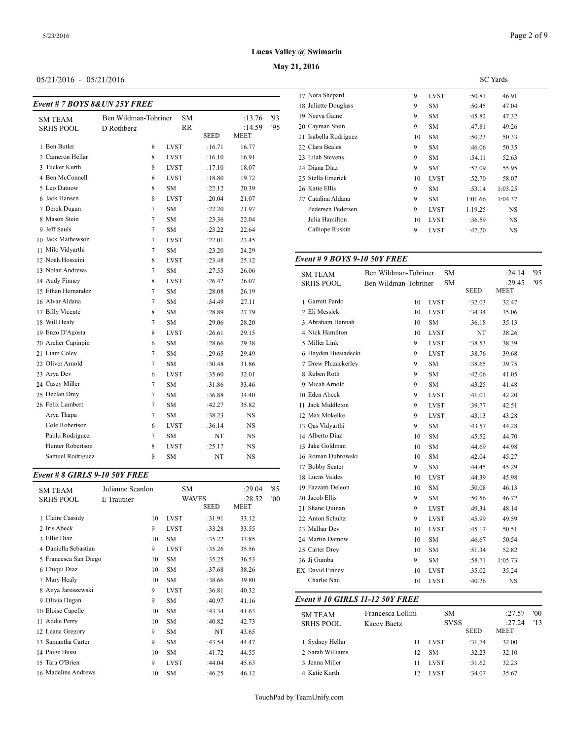## 05/21/2016 - 05/21/2016

|             |                               |                      |             |    | 1/ ivora Snepard<br>18 Juliette Douglas |
|-------------|-------------------------------|----------------------|-------------|----|-----------------------------------------|
|             | <b>SM</b>                     |                      | :13.76      | 93 | 19 Neeva Gaine                          |
| D Rothberg  | RR                            |                      | :14.59      | 95 | 20 Cayman Stein                         |
|             |                               |                      | MEET        |    | 21 Isabella Rodrigu                     |
| 8           | <b>LVST</b>                   | :16.71               | 16.77       |    | 22 Clara Beales                         |
| 8           | <b>LVST</b>                   | :16.10               | 16.91       |    | 23 Lilah Stevens                        |
| 8           | <b>LVST</b>                   | :17.10               | 18.07       |    | 24 Diana Diaz                           |
| 8           | <b>LVST</b>                   | :18.80               | 19.72       |    | 25 Stella Emerick                       |
| 8           | <b>SM</b>                     | :22.12               | 20.39       |    | 26 Katie Ellis                          |
| 8           | <b>LVST</b>                   | :20.04               | 21.07       |    | 27 Catalina Aldana                      |
| $\tau$      | <b>SM</b>                     | :22.20               | 21.97       |    | Pedersen Peders                         |
| $\tau$      | SM                            | :23.36               | 22.04       |    | Julia Hamilton                          |
| $\tau$      | <b>SM</b>                     | :23.22               | 22.64       |    | Calliope Ruskin                         |
| $\tau$      | <b>LVST</b>                   | :22.01               | 23.45       |    |                                         |
| 7           | SM                            | :23.20               | 24.29       |    |                                         |
| 8           | LVST                          | :23.48               | 25.12       |    | Event # 9 BOYS                          |
| 7           | <b>SM</b>                     | :27.55               | 26.06       |    | <b>SM TEAM</b>                          |
| 8           | <b>LVST</b>                   | :26.42               | 26.07       |    | <b>SRHS POOL</b>                        |
| 7           | <b>SM</b>                     | :28.08               | 26.19       |    |                                         |
| $\tau$      | <b>SM</b>                     | :34.49               | 27.11       |    | 1 Garrett Pardo                         |
| $\,$ 8 $\,$ | SM                            | :28.89               | 27.79       |    | 2 Eli Messick                           |
| $\tau$      | SM                            | :29.06               | 28.20       |    | 3 Abraham Hanna                         |
| 8           | <b>LVST</b>                   | :26.61               | 29.15       |    | 4 Nick Hamilton                         |
| 6           | <b>SM</b>                     | :28.66               | 29.38       |    | 5 Miller Link                           |
| $\tau$      | <b>SM</b>                     | :29.65               | 29.49       |    | 6 Hayden Biesiade                       |
| $\tau$      | <b>SM</b>                     | :30.48               | 31.86       |    | 7 Drew Phizacker                        |
| 6           | <b>LVST</b>                   | :35.60               | 32.01       |    | 8 Ruben Roth                            |
| $\tau$      | SM                            | :31.86               | 33.46       |    | 9 Micah Arnold                          |
| $\tau$      | <b>SM</b>                     | :36.88               | 34.40       |    | 10 Eden Abeck                           |
| $\tau$      | <b>SM</b>                     | :42.27               | 35.82       |    | 11 Jack Middleton                       |
| $\tau$      | SM                            | :38.23               | NS          |    | 12 Max Mokelke                          |
| 6           | LVST                          | :36.14               | <b>NS</b>   |    | 13 Qas Vidyarthi                        |
| 7           | SM                            | NT                   | <b>NS</b>   |    | 14 Alberto Diaz                         |
| 8           | <b>LVST</b>                   | :25.17               | NS          |    | 15 Jake Goldman                         |
| 8           | <b>SM</b>                     | NT                   | <b>NS</b>   |    | 16 Roman Dubrow                         |
|             | Event # 7 BOYS 8& UN 25Y FREE | Ben Wildman-Tobriner | <b>SEED</b> |    |                                         |

# *Event # 8 GIRLS 9-10 50Y FREE*

| <b>SM TEAM</b><br><b>SRHS POOL</b> | Julianne Scanlon<br>E Trautner |             | <b>SM</b><br>WAVES<br><b>SEED</b> | :29.04<br>:28.52<br><b>MEET</b> | '85<br>'00 | 19 Fazzatti Deleon<br>20 Jacob Ellis<br>21 Shane Quinan |
|------------------------------------|--------------------------------|-------------|-----------------------------------|---------------------------------|------------|---------------------------------------------------------|
| 1 Claire Cassidy                   | 10                             | <b>LVST</b> | :31.91                            | 33.12                           |            | 22 Anton Schultz                                        |
| 2 Iris Abeck                       | 9                              | <b>LVST</b> | :33.28                            | 33.55                           |            | 23 Malhar Dev                                           |
| 3 Ellie Diaz                       | 10                             | <b>SM</b>   | :35.22                            | 33.85                           |            | 24 Martin Datnow                                        |
| 4 Daniella Sebastian               | 9                              | <b>LVST</b> | :35.26                            | 35.56                           |            | 25 Carter Drey                                          |
| 5 Francesca San Diego              | 10                             | <b>SM</b>   | :35.25                            | 36.53                           |            | 26 Ji Gumba                                             |
| 6 Chiqui Diaz                      | 10                             | <b>SM</b>   | :37.68                            | 38.26                           |            | <b>EX</b> David Finney                                  |
| 7 Mary Healy                       | 10                             | <b>SM</b>   | :38.66                            | 39.80                           |            | Charlie Nau                                             |
| 8 Anya Jaroszewski                 | 9                              | <b>LVST</b> | :36.81                            | 40.32                           |            |                                                         |
| 9 Olivia Dugan                     | 9                              | <b>SM</b>   | :40.97                            | 41.16                           |            | Event # 10 GIRI                                         |
| 10 Eloise Capelle                  | 10                             | <b>SM</b>   | :43.34                            | 41.63                           |            | <b>SM TEAM</b>                                          |
| 11 Addie Perry                     | 10                             | <b>SM</b>   | :40.82                            | 42.73                           |            | <b>SRHS POOL</b>                                        |
| 12 Leana Gregory                   | 9                              | <b>SM</b>   | NT                                | 43.65                           |            |                                                         |
| 13 Samantha Carter                 | 9                              | <b>SM</b>   | :43.54                            | 44.47                           |            | 1 Sydney Hellar                                         |
| 14 Paige Bussi                     | 10                             | <b>SM</b>   | :41.72                            | 44.55                           |            | 2 Sarah Williams                                        |
| 15 Tara O'Brien                    | 9                              | <b>LVST</b> | :44.04                            | 45.63                           |            | 3 Jenna Miller                                          |
| 16 Madeline Andrews                | 10                             | <b>SM</b>   | :46.25                            | 46.12                           |            | 4 Katie Kurth                                           |

|                       |    |             |         | <b>SC</b> Yards |  |
|-----------------------|----|-------------|---------|-----------------|--|
| 17 Nora Shepard       | 9  | <b>LVST</b> | :50.81  | 46.91           |  |
| 18 Juliette Douglass  | 9  | SM          | :50.45  | 47.04           |  |
| 19 Neeva Gaine        | 9  | SM          | :45.82  | 47.32           |  |
| 20 Cayman Stein       | 9  | SM          | :47.81  | 49.26           |  |
| 21 Isabella Rodriguez | 10 | <b>SM</b>   | :50.23  | 50.33           |  |
| 22 Clara Beales       | 9  | <b>SM</b>   | :46.06  | 50.35           |  |
| 23 Lilah Stevens      | 9  | SM          | :54.11  | 52.63           |  |
| 24 Diana Diaz         | 9  | SM          | :57.09  | 55.95           |  |
| 25 Stella Emerick     | 10 | <b>LVST</b> | :52.70  | 58.07           |  |
| 26 Katie Ellis        | 9  | SM          | : 53.14 | 1:03.25         |  |
| 27 Catalina Aldana    | 9  | <b>SM</b>   | 1:01.66 | 1:04.37         |  |
| Pedersen Pedersen     | 9  | <b>LVST</b> | 1:19.25 | <b>NS</b>       |  |

Julia Hamilton 10 LVST :36.59 NS Calliope Ruskin 9 LVST :47.20 NS

#### *Event # 9 BOYS 9-10 50Y FREE*

**May 21, 2016 Lucas Valley @ Swimarin**

| <b>SM TEAM</b>         | Ben Wildman-Tobriner | <b>SM</b>   |             | :24.14                | 95 |
|------------------------|----------------------|-------------|-------------|-----------------------|----|
| <b>SRHS POOL</b>       | Ben Wildman-Tobriner | <b>SM</b>   | <b>SEED</b> | :29.45<br><b>MEET</b> | 95 |
| 1 Garrett Pardo        | 10                   | <b>LVST</b> | :32.03      | 32.47                 |    |
| 2 Eli Messick          | 10                   | <b>LVST</b> | :34.34      | 35.06                 |    |
| 3 Abraham Hannah       | 10                   | <b>SM</b>   | :36.18      | 35.13                 |    |
| 4 Nick Hamilton        | 10                   | <b>LVST</b> | NT          | 38.26                 |    |
| 5 Miller Link          | 9                    | <b>LVST</b> | :38.53      | 38.39                 |    |
| 6 Hayden Biesiadecki   | 9                    | <b>LVST</b> | :38.76      | 39.68                 |    |
| 7 Drew Phizackerley    | 9                    | <b>SM</b>   | :38.65      | 39.75                 |    |
| 8 Ruben Roth           | 9                    | <b>SM</b>   | :42.06      | 41.05                 |    |
| 9 Micah Arnold         | 9                    | <b>SM</b>   | :43.25      | 41.48                 |    |
| 10 Eden Abeck          | 9                    | <b>LVST</b> | :41.01      | 42.20                 |    |
| 11 Jack Middleton      | 9                    | <b>LVST</b> | :39.77      | 42.51                 |    |
| 12 Max Mokelke         | 9                    | <b>LVST</b> | :43.13      | 43.28                 |    |
| 13 Oas Vidyarthi       | 9                    | <b>SM</b>   | :43.57      | 44.28                 |    |
| 14 Alberto Diaz        | 10                   | <b>SM</b>   | :45.52      | 44.70                 |    |
| 15 Jake Goldman        | 10                   | <b>SM</b>   | :44.69      | 44.98                 |    |
| 16 Roman Dubrowski     | 10                   | <b>SM</b>   | :42.04      | 45.27                 |    |
| 17 Bobby Seater        | 9                    | <b>SM</b>   | :44.45      | 45.29                 |    |
| 18 Lucas Valdes        | 10                   | <b>LVST</b> | :44.39      | 45.98                 |    |
| 19 Fazzatti Deleon     | 10                   | <b>SM</b>   | :50.08      | 46.13                 |    |
| 20 Jacob Ellis         | 9                    | <b>SM</b>   | :50.56      | 46.72                 |    |
| 21 Shane Quinan        | 9                    | <b>LVST</b> | :49.34      | 48.14                 |    |
| 22 Anton Schultz       | 9                    | <b>LVST</b> | :45.99      | 49.59                 |    |
| 23 Malhar Dev          | 10                   | <b>LVST</b> | :45.17      | 50.51                 |    |
| 24 Martin Datnow       | 10                   | <b>SM</b>   | :46.67      | 50.54                 |    |
| 25 Carter Drey         | 10                   | <b>SM</b>   | :51.34      | 52.82                 |    |
| 26 Jj Gumba            | 9                    | <b>SM</b>   | :58.71      | 1:05.73               |    |
| <b>EX</b> David Finney | 10                   | <b>LVST</b> | :35.02      | 35.24                 |    |
| Charlie Nau            | 10                   | <b>LVST</b> | :40.26      | NS                    |    |

#### *Event # 10 GIRLS 11-12 50Y FREE*

| <b>SM TEAM</b>   | Francesca Lollini | SМ          |             | :27.57                | 00' |
|------------------|-------------------|-------------|-------------|-----------------------|-----|
| <b>SRHS POOL</b> | Kacev Baetz       | <b>SVSS</b> | <b>SEED</b> | :27.24<br><b>MEET</b> | '13 |
| 1 Sydney Hellar  | 11                | <b>LVST</b> | :31.74      | 32.00                 |     |
| 2 Sarah Williams | 12                | <b>SM</b>   | :32.23      | 32.10                 |     |
| 3 Jenna Miller   | 11                | <b>LVST</b> | :31.62      | 32.23                 |     |
| 4 Katie Kurth    | 12                | <b>LVST</b> | :34.07      | 35.67                 |     |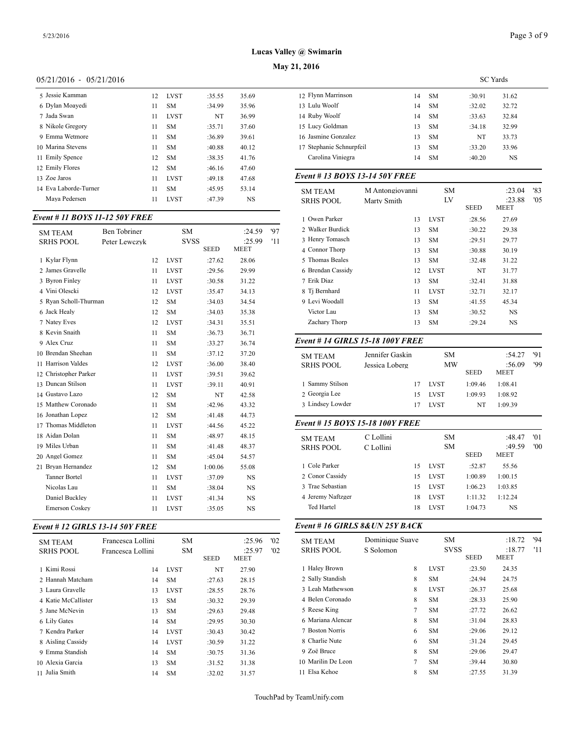## **May 21, 2016**

## 05/21/2016 - 05/21/2016

| 5 Jessie Kamman       | 12 | <b>LVST</b> | :35.55 | 35.69 | 12 Flynn      |
|-----------------------|----|-------------|--------|-------|---------------|
| 6 Dylan Moayedi       | 11 | <b>SM</b>   | :34.99 | 35.96 | 13 Lulu V     |
| 7 Jada Swan           | 11 | <b>LVST</b> | NT     | 36.99 | 14 Ruby       |
| 8 Nikole Gregory      | 11 | <b>SM</b>   | :35.71 | 37.60 | $15$ Lucy $($ |
| 9 Emma Wetmore        | 11 | <b>SM</b>   | :36.89 | 39.61 | 16 Jasmir     |
| 10 Marina Stevens     | 11 | <b>SM</b>   | :40.88 | 40.12 | 17 Stepha     |
| 11 Emily Spence       | 12 | <b>SM</b>   | :38.35 | 41.76 | Caroli        |
| 12 Emily Flores       | 12 | <b>SM</b>   | :46.16 | 47.60 |               |
| 13 Zoe Jaros          | 11 | <b>LVST</b> | :49.18 | 47.68 | Event $#$     |
| 14 Eva Laborde-Turner | 11 | <b>SM</b>   | :45.95 | 53.14 | SMTE          |
| Mava Pedersen         | 11 | <b>LVST</b> | :47.39 | NS    | <b>SRHSF</b>  |

#### *Event # 11 BOYS 11-12 50Y FREE*

| <b>SM TEAM</b>        | Ben Tobriner  |    | <b>SM</b>   |             | :24.59      | 97  | 2 Walker Burdick  |
|-----------------------|---------------|----|-------------|-------------|-------------|-----|-------------------|
| <b>SRHS POOL</b>      | Peter Lewczyk |    | <b>SVSS</b> |             | :25.99      | '11 | 3 Henry Tomasch   |
|                       |               |    |             | <b>SEED</b> | <b>MEET</b> |     | 4 Connor Thorp    |
| 1 Kylar Flynn         |               | 12 | <b>LVST</b> | :27.62      | 28.06       |     | 5 Thomas Beales   |
| 2 James Gravelle      |               | 11 | <b>LVST</b> | :29.56      | 29.99       |     | 6 Brendan Cassidy |
| 3 Byron Finley        |               | 11 | <b>LVST</b> | :30.58      | 31.22       |     | 7 Erik Diaz       |
| 4 Vini Olescki        |               | 12 | <b>LVST</b> | :35.47      | 34.13       |     | 8 Ti Bernhard     |
| 5 Rvan Scholl-Thurman |               | 12 | <b>SM</b>   | :34.03      | 34.54       |     | 9 Levi Woodall    |
| 6 Jack Healy          |               | 12 | <b>SM</b>   | :34.03      | 35.38       |     | Victor Lau        |
| 7 Natey Eves          |               | 12 | <b>LVST</b> | :34.31      | 35.51       |     | Zachary Thorp     |
| 8 Kevin Snaith        |               | 11 | <b>SM</b>   | :36.73      | 36.71       |     |                   |
| 9 Alex Cruz           |               | 11 | <b>SM</b>   | :33.27      | 36.74       |     | Event # 14 GIRI   |
| 10 Brendan Sheehan    |               | 11 | <b>SM</b>   | :37.12      | 37.20       |     | <b>SM TEAM</b>    |
| 11 Harrison Valdes    |               | 12 | <b>LVST</b> | :36.00      | 38.40       |     | <b>SRHS POOL</b>  |
| 12 Christopher Parker |               | 11 | <b>LVST</b> | :39.51      | 39.62       |     |                   |
| 13 Duncan Stilson     |               | 11 | <b>LVST</b> | :39.11      | 40.91       |     | 1 Sammy Stilson   |
| 14 Gustavo Lazo       |               | 12 | <b>SM</b>   | NT          | 42.58       |     | 2 Georgia Lee     |
| 15 Matthew Coronado   |               | 11 | <b>SM</b>   | :42.96      | 43.32       |     | 3 Lindsey Lowder  |
| 16 Jonathan Lopez     |               | 12 | <b>SM</b>   | :41.48      | 44.73       |     |                   |
| 17 Thomas Middleton   |               | 11 | <b>LVST</b> | :44.56      | 45.22       |     | Event # 15 $BOY$  |
| 18 Aidan Dolan        |               | 11 | <b>SM</b>   | :48.97      | 48.15       |     | <b>SM TEAM</b>    |
| 19 Miles Urban        |               | 11 | <b>SM</b>   | :41.48      | 48.37       |     | <b>SRHS POOL</b>  |
| 20 Angel Gomez        |               | 11 | <b>SM</b>   | :45.04      | 54.57       |     |                   |
| 21 Bryan Hernandez    |               | 12 | <b>SM</b>   | 1:00.06     | 55.08       |     | 1 Cole Parker     |
| <b>Tanner Bortel</b>  |               | 11 | <b>LVST</b> | :37.09      | NS          |     | 2 Conor Cassidy   |
| Nicolas Lau           |               | 11 | <b>SM</b>   | :38.04      | <b>NS</b>   |     | 3 Trae Sebastian  |
| Daniel Buckley        |               | 11 | <b>LVST</b> | :41.34      | <b>NS</b>   |     | 4 Jeremy Naftzger |
| <b>Emerson Coskey</b> |               | 11 | <b>LVST</b> | :35.05      | <b>NS</b>   |     | Ted Hartel        |
|                       |               |    |             |             |             |     |                   |

## *Event # 12 GIRLS 13-14 50Y FREE*

| <b>SM TEAM</b><br><b>SRHS POOL</b> | Francesca Lollini<br>Francesca Lollini | SM<br><b>SM</b> | <b>SEED</b> | :25.96<br>:25.97<br>MEET | '02<br>'02 | <b>SM TEAM</b><br><b>SRHS POOL</b> |
|------------------------------------|----------------------------------------|-----------------|-------------|--------------------------|------------|------------------------------------|
| 1 Kimi Rossi                       | 14                                     | <b>LVST</b>     | NT          | 27.90                    |            | 1 Haley Brown                      |
| 2 Hannah Matcham                   | 14                                     | SM.             | :27.63      | 28.15                    |            | 2 Sally Standish                   |
| 3 Laura Gravelle                   | 13                                     | <b>LVST</b>     | :28.55      | 28.76                    |            | 3 Leah Mathewso                    |
| 4 Katie McCallister                | 13                                     | SM.             | :30.32      | 29.39                    |            | 4 Belen Coronado                   |
| 5 Jane McNevin                     | 13                                     | <b>SM</b>       | :29.63      | 29.48                    |            | 5 Reese King                       |
| 6 Lily Gates                       | 14                                     | SM.             | :29.95      | 30.30                    |            | 6 Mariana Alencar                  |
| 7 Kendra Parker                    | 14                                     | <b>LVST</b>     | :30.43      | 30.42                    |            | 7 Boston Norris                    |
| 8 Aisling Cassidy                  | 14                                     | <b>LVST</b>     | :30.59      | 31.22                    |            | 8 Charlie Nute                     |
| 9 Emma Standish                    | 14                                     | <b>SM</b>       | :30.75      | 31.36                    |            | 9 Zoë Bruce                        |
| 10 Alexia Garcia                   | 13                                     | <b>SM</b>       | :31.52      | 31.38                    |            | 10 Marilin De Leor                 |
| 11 Julia Smith                     | 14                                     | <b>SM</b>       | :32.02      | 31.57                    |            | 11 Elsa Kehoe                      |

|                          |    |           | <b>SC</b> Yards |       |  |
|--------------------------|----|-----------|-----------------|-------|--|
| 12 Flynn Marrinson       | 14 | SM        | :30.91          | 31.62 |  |
| 13 Lulu Woolf            | 14 | SM.       | :32.02          | 32.72 |  |
| 14 Ruby Woolf            | 14 | SM        | :33.63          | 32.84 |  |
| 15 Lucy Goldman          | 13 | <b>SM</b> | :34.18          | 32.99 |  |
| 16 Jasmine Gonzalez      | 13 | SM        | NT              | 33.73 |  |
| 17 Stephanie Schnurpfeil | 13 | SM.       | :33.20          | 33.96 |  |
| Carolina Viniegra        | 14 | <b>SM</b> | :40.20          | NS    |  |
|                          |    |           |                 |       |  |

#### *Event # 13 BOYS 13-14 50Y FREE*

| <b>SM TEAM</b><br><b>SRHS POOL</b> | M Antongiovanni<br>Marty Smith | <b>SM</b><br>LV | <b>SEED</b> | :23.04<br>:23.88<br><b>MEET</b> | '83<br>'05 |
|------------------------------------|--------------------------------|-----------------|-------------|---------------------------------|------------|
| 1 Owen Parker                      | 13                             | <b>LVST</b>     | :28.56      | 27.69                           |            |
| 2 Walker Burdick                   | 13                             | <b>SM</b>       | :30.22      | 29.38                           |            |
| 3 Henry Tomasch                    | 13                             | <b>SM</b>       | :29.51      | 29.77                           |            |
| 4 Connor Thorp                     | 13                             | <b>SM</b>       | :30.88      | 30.19                           |            |
| 5 Thomas Beales                    | 13                             | <b>SM</b>       | :32.48      | 31.22                           |            |
| 6 Brendan Cassidy                  | 12                             | <b>LVST</b>     | NT          | 31.77                           |            |
| 7 Erik Diaz                        | 13                             | <b>SM</b>       | :32.41      | 31.88                           |            |
| 8 Ti Bernhard                      | 11                             | <b>LVST</b>     | :32.71      | 32.17                           |            |
| 9 Levi Woodall                     | 13                             | <b>SM</b>       | :41.55      | 45.34                           |            |
| Victor Lau                         | 13                             | <b>SM</b>       | :30.52      | <b>NS</b>                       |            |
| Zachary Thorp                      | 13                             | <b>SM</b>       | :29.24      | NS                              |            |

## *Event # 14 GIRLS 15-18 100Y FREE*

| 1 Sammy Stilson<br><b>LVST</b><br>1:09.46<br>1:08.41<br>17<br>2 Georgia Lee<br><b>LVST</b><br>1:09.93<br>1:08.92<br>15<br>3 Lindsey Lowder<br>NT<br>1:09.39<br><b>LVST</b><br>17 | <b>SM TEAM</b><br><b>SRHS POOL</b> | Jennifer Gaskin<br>Jessica Loberg | SМ<br>MW | <b>SEED</b> | :54.27<br>:56.09<br><b>MEET</b> | '91<br>'99 |
|----------------------------------------------------------------------------------------------------------------------------------------------------------------------------------|------------------------------------|-----------------------------------|----------|-------------|---------------------------------|------------|
|                                                                                                                                                                                  |                                    |                                   |          |             |                                 |            |
|                                                                                                                                                                                  |                                    |                                   |          |             |                                 |            |
|                                                                                                                                                                                  |                                    |                                   |          |             |                                 |            |

#### *Event # 15 BOYS 15-18 100Y FREE*

| <b>SM TEAM</b><br><b>SRHS POOL</b> | C Lollini<br>C Lollini |    | <b>SM</b><br><b>SM</b> | <b>SEED</b> | :48.47<br>:49.59<br><b>MEET</b> | '01<br>'00 |
|------------------------------------|------------------------|----|------------------------|-------------|---------------------------------|------------|
| 1 Cole Parker                      |                        | 15 | <b>LVST</b>            | :52.87      | 55.56                           |            |
| 2 Conor Cassidy                    |                        | 15 | <b>LVST</b>            | 1:00.89     | 1:00.15                         |            |
| 3 Trae Sebastian                   |                        | 15 | <b>LVST</b>            | 1:06.23     | 1:03.85                         |            |
| 4 Jeremy Naftzger                  |                        | 18 | <b>LVST</b>            | 1:11.32     | 1:12.24                         |            |
| Ted Hartel                         |                        | 18 | <b>LVST</b>            | 1:04.73     | NS                              |            |
|                                    |                        |    |                        |             |                                 |            |

#### *Event # 16 GIRLS 8&UN 25Y BACK*

| <b>SM TEAM</b>     | Dominique Suave | <b>SM</b>   |             | :18.72                | '94 |
|--------------------|-----------------|-------------|-------------|-----------------------|-----|
| <b>SRHS POOL</b>   | S Solomon       | <b>SVSS</b> | <b>SEED</b> | :18.77<br><b>MEET</b> | '11 |
| 1 Haley Brown      | 8               | <b>LVST</b> | :23.50      | 24.35                 |     |
| 2 Sally Standish   | 8               | SM          | :24.94      | 24.75                 |     |
| 3 Leah Mathewson   | 8               | <b>LVST</b> | :26.37      | 25.68                 |     |
| 4 Belen Coronado   | 8               | SM          | :28.33      | 25.90                 |     |
| 5 Reese King       | 7               | SM          | :27.72      | 26.62                 |     |
| 6 Mariana Alencar  | 8               | SM          | :31.04      | 28.83                 |     |
| 7 Boston Norris    | 6               | SM          | :29.06      | 29.12                 |     |
| 8 Charlie Nute     | 6               | SM          | :31.24      | 29.45                 |     |
| 9 Zoë Bruce        | 8               | SM          | :29.06      | 29.47                 |     |
| 10 Marilin De Leon | 7               | SM          | :39.44      | 30.80                 |     |
| 11 Elsa Kehoe      | 8               | <b>SM</b>   | :27.55      | 31.39                 |     |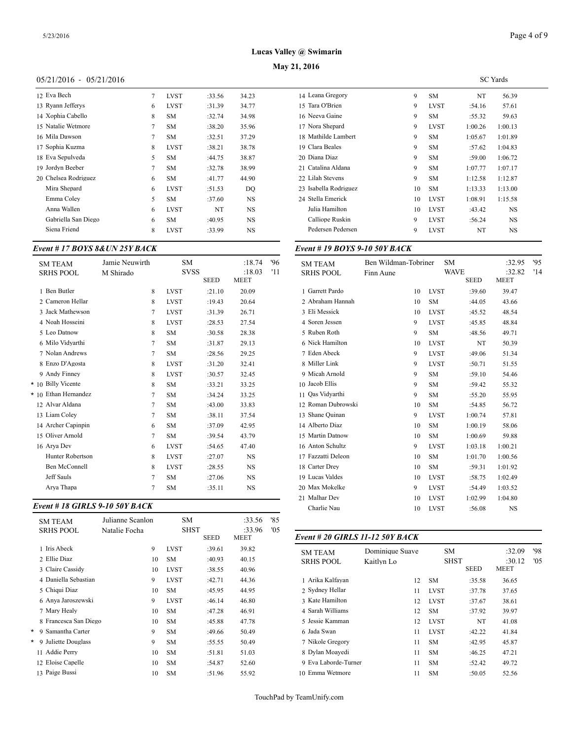## **May 21, 2016**

## 05/21/2016 - 05/21/2016

| 12 Eva Bech          | $\tau$ | LVST        | :33.56 | 34.23     | 14 Leana Gregor   |
|----------------------|--------|-------------|--------|-----------|-------------------|
| 13 Ryann Jefferys    | 6      | <b>LVST</b> | :31.39 | 34.77     | 15 Tara O'Brien   |
| 14 Xophia Cabello    | 8      | <b>SM</b>   | :32.74 | 34.98     | 16 Neeva Gaine    |
| 15 Natalie Wetmore   | 7      | SМ          | :38.20 | 35.96     | 17 Nora Shepard   |
| 16 Mila Dawson       | 7      | <b>SM</b>   | :32.51 | 37.29     | 18 Mathilde Lam   |
| 17 Sophia Kuzma      | 8      | <b>LVST</b> | :38.21 | 38.78     | 19 Clara Beales   |
| 18 Eva Sepulveda     | 5      | <b>SM</b>   | :44.75 | 38.87     | 20 Diana Diaz     |
| 19 Jordyn Beeber     | 7      | <b>SM</b>   | :32.78 | 38.99     | 21 Catalina Aldar |
| 20 Chelsea Rodriguez | 6      | SM.         | :41.77 | 44.90     | 22 Lilah Stevens  |
| Mira Shepard         | 6      | <b>LVST</b> | :51.53 | DO        | 23 Isabella Rodri |
| Emma Coley           | 5      | SM.         | :37.60 | NS.       | 24 Stella Emerick |
| Anna Wallen          | 6      | <b>LVST</b> | NT     | NS.       | Julia Hamiltor    |
| Gabriella San Diego  | 6      | <b>SM</b>   | :40.95 | NS.       | Calliope Rusk     |
| Siena Friend         | 8      | <b>LVST</b> | :33.99 | <b>NS</b> | Pedersen Pede     |
|                      |        |             |        |           |                   |

#### *Event # 17 BOYS 8&UN 25Y BACK*

| <b>SM TEAM</b><br><b>SRHS POOL</b> | Jamie Neuwirth<br>M Shirado | <b>SM</b><br><b>SVSS</b> | <b>SEED</b> | :18.74<br>:18.03<br><b>MEET</b> | '96<br>'11 | <b>SM TEAM</b><br><b>SRHS POOL</b> |
|------------------------------------|-----------------------------|--------------------------|-------------|---------------------------------|------------|------------------------------------|
| 1 Ben Butler                       | 8                           | <b>LVST</b>              | :21.10      | 20.09                           |            | 1 Garrett Pardo                    |
| 2. Cameron Hellar                  | 8                           | <b>LVST</b>              | :19.43      | 20.64                           |            | 2 Abraham Hanna                    |
| 3 Jack Mathewson                   | 7                           | <b>LVST</b>              | :31.39      | 26.71                           |            | 3 Eli Messick                      |
| 4 Noah Hosseini                    | 8                           | <b>LVST</b>              | :28.53      | 27.54                           |            | 4 Soren Jessen                     |
| 5 Leo Datnow                       | 8                           | <b>SM</b>                | :30.58      | 28.38                           |            | 5 Ruben Roth                       |
| 6 Milo Vidyarthi                   | 7                           | <b>SM</b>                | :31.87      | 29.13                           |            | 6 Nick Hamilton                    |
| 7 Nolan Andrews                    | 7                           | <b>SM</b>                | :28.56      | 29.25                           |            | 7 Eden Abeck                       |
| 8 Enzo D'Agosta                    | 8                           | <b>LVST</b>              | :31.20      | 32.41                           |            | 8 Miller Link                      |
| 9 Andy Finney                      | 8                           | <b>LVST</b>              | :30.57      | 32.45                           |            | 9 Micah Arnold                     |
| * 10 Billy Vicente                 | 8                           | <b>SM</b>                | :33.21      | 33.25                           |            | 10 Jacob Ellis                     |
| * 10 Ethan Hernandez               | 7                           | <b>SM</b>                | :34.24      | 33.25                           |            | 11 Oas Vidvarthi                   |
| 12 Alvar Aldana                    | 7                           | <b>SM</b>                | :43.00      | 33.83                           |            | 12 Roman Dubrow                    |
| 13 Liam Colev                      | 7                           | <b>SM</b>                | :38.11      | 37.54                           |            | 13 Shane Quinan                    |
| 14 Archer Capinpin                 | 6                           | <b>SM</b>                | :37.09      | 42.95                           |            | 14 Alberto Diaz                    |
| 15 Oliver Arnold                   | 7                           | <b>SM</b>                | :39.54      | 43.79                           |            | 15 Martin Datnow                   |
| 16 Arya Dev                        | 6                           | <b>LVST</b>              | :54.65      | 47.40                           |            | 16 Anton Schultz                   |
| <b>Hunter Robertson</b>            | 8                           | <b>LVST</b>              | :27.07      | <b>NS</b>                       |            | 17 Fazzatti Deleon                 |
| <b>Ben McConnell</b>               | 8                           | <b>LVST</b>              | :28.55      | <b>NS</b>                       |            | 18 Carter Drey                     |
| <b>Jeff Sauls</b>                  | 7                           | <b>SM</b>                | :27.06      | <b>NS</b>                       |            | 19 Lucas Valdes                    |
| Arya Thapa                         | 7                           | <b>SM</b>                | :35.11      | <b>NS</b>                       |            | 20 Max Mokelke                     |
|                                    |                             |                          |             |                                 |            |                                    |

#### *Event # 18 GIRLS 9-10 50Y BACK*

|   | <b>SM TEAM</b><br><b>SRHS POOL</b> | Julianne Scanlon<br>Natalie Focha | SM          | <b>SHST</b> | :33.56<br>:33.96 | '85<br>'05 |                  |
|---|------------------------------------|-----------------------------------|-------------|-------------|------------------|------------|------------------|
|   |                                    |                                   |             | SEED        | MEET             |            | Event # 20 GIRI  |
|   | 1 Iris Abeck                       | 9                                 | <b>LVST</b> | :39.61      | 39.82            |            | <b>SM TEAM</b>   |
|   | 2 Ellie Diaz                       | 10                                | <b>SM</b>   | :40.93      | 40.15            |            | <b>SRHS POOL</b> |
|   | 3 Claire Cassidy                   | 10                                | <b>LVST</b> | :38.55      | 40.96            |            |                  |
|   | 4 Daniella Sebastian               | 9                                 | <b>LVST</b> | :42.71      | 44.36            |            | 1 Arika Kalfayan |
|   | 5 Chiqui Diaz                      | 10                                | <b>SM</b>   | :45.95      | 44.95            |            | 2 Sydney Hellar  |
|   | 6 Anya Jaroszewski                 | 9                                 | <b>LVST</b> | :46.14      | 46.80            |            | 3 Kate Hamilton  |
|   | 7 Mary Healy                       | 10                                | <b>SM</b>   | :47.28      | 46.91            |            | 4 Sarah Williams |
|   | 8 Francesca San Diego              | 10                                | <b>SM</b>   | :45.88      | 47.78            |            | 5 Jessie Kamman  |
| * | 9 Samantha Carter                  | 9                                 | <b>SM</b>   | :49.66      | 50.49            |            | 6 Jada Swan      |
| * | 9 Juliette Douglass                | 9                                 | <b>SM</b>   | :55.55      | 50.49            |            | 7 Nikole Gregory |
|   | 11 Addie Perry                     | 10                                | <b>SM</b>   | :51.81      | 51.03            |            | 8 Dylan Moavedi  |
|   | 12 Eloise Capelle                  | 10                                | <b>SM</b>   | :54.87      | 52.60            |            | 9 Eva Laborde-Tu |
|   | 13 Paige Bussi                     | 10                                | <b>SM</b>   | :51.96      | 55.92            |            | 10 Emma Wetmore  |

|    |             |         | <b>SC</b> Yards |
|----|-------------|---------|-----------------|
| 9  | SM          | NT      | 56.39           |
| 9  | <b>LVST</b> | :54.16  | 57.61           |
| 9  | SM          | :55.32  | 59.63           |
| 9  | <b>LVST</b> | 1:00.26 | 1:00.13         |
| 9  | <b>SM</b>   | 1:05.67 | 1:01.89         |
| 9  | SM          | :57.62  | 1:04.83         |
| 9  | SM          | :59.00  | 1:06.72         |
| 9  | SM          | 1:07.77 | 1:07.17         |
| 9  | SM          | 1:12.58 | 1:12.87         |
| 10 | SM          | 1:13.33 | 1:13.00         |
| 10 | <b>LVST</b> | 1:08.91 | 1:15.58         |
| 10 | <b>LVST</b> | :43.42  | <b>NS</b>       |
| 9  | <b>LVST</b> | :56.24  | <b>NS</b>       |
| 9  | <b>LVST</b> | NT      | <b>NS</b>       |
|    |             |         |                 |

## *Event # 19 BOYS 9-10 50Y BACK*

| <b>WAVE</b><br>:32.82<br>'14<br><b>SRHS POOL</b><br>Finn Aune<br><b>SEED</b><br><b>MEET</b><br>1 Garrett Pardo<br><b>LVST</b><br>:39.60<br>39.47<br>10<br>2 Abraham Hannah<br><b>SM</b><br>10<br>:44.05<br>43.66<br>3 Eli Messick<br>10<br><b>LVST</b><br>:45.52<br>48.54<br>4 Soren Jessen<br>9<br><b>LVST</b><br>:45.85<br>48.84<br>5 Ruben Roth<br>9<br><b>SM</b><br>:48.56<br>49.71<br>6 Nick Hamilton<br>10<br><b>LVST</b><br>NT<br>50.39<br>7 Eden Abeck<br>9<br><b>LVST</b><br>:49.06<br>51.34<br>8 Miller Link<br>9<br><b>LVST</b><br>:50.71<br>51.55<br>9 Micah Arnold<br>9<br><b>SM</b><br>:59.10<br>54.46<br>10 Jacob Ellis<br>9<br><b>SM</b><br>:59.42<br>55.32<br>11 Oas Vidyarthi<br>9<br><b>SM</b><br>:55.20<br>55.95<br>12 Roman Dubrowski<br>10<br><b>SM</b><br>56.72<br>:54.85<br>13 Shane Quinan<br>9<br><b>LVST</b><br>1:00.74<br>57.81<br>14 Alberto Diaz<br><b>SM</b><br>1:00.19<br>58.06<br>10<br>15 Martin Datnow<br>10<br><b>SM</b><br>1:00.69<br>59.88<br>16 Anton Schultz<br>9<br>1:03.18<br><b>LVST</b><br>1:00.21<br>17 Fazzatti Deleon<br><b>SM</b><br>10<br>1:01.70<br>1:00.56<br>18 Carter Drey<br><b>SM</b><br>10<br>:59.31<br>1:01.92<br>19 Lucas Valdes<br>10<br><b>LVST</b><br>:58.75<br>1:02.49<br>20 Max Mokelke<br>9<br><b>LVST</b><br>1:03.52<br>:54.49<br>21 Malhar Dev<br>10<br><b>LVST</b><br>1:04.80<br>1:02.99<br>Charlie Nau<br>10<br><b>LVST</b><br>:56.08<br><b>NS</b> | <b>SM TEAM</b> | Ben Wildman-Tobriner | <b>SM</b> | :32.95 | 95 |
|------------------------------------------------------------------------------------------------------------------------------------------------------------------------------------------------------------------------------------------------------------------------------------------------------------------------------------------------------------------------------------------------------------------------------------------------------------------------------------------------------------------------------------------------------------------------------------------------------------------------------------------------------------------------------------------------------------------------------------------------------------------------------------------------------------------------------------------------------------------------------------------------------------------------------------------------------------------------------------------------------------------------------------------------------------------------------------------------------------------------------------------------------------------------------------------------------------------------------------------------------------------------------------------------------------------------------------------------------------------------------------------------------------------------|----------------|----------------------|-----------|--------|----|
|                                                                                                                                                                                                                                                                                                                                                                                                                                                                                                                                                                                                                                                                                                                                                                                                                                                                                                                                                                                                                                                                                                                                                                                                                                                                                                                                                                                                                        |                |                      |           |        |    |
|                                                                                                                                                                                                                                                                                                                                                                                                                                                                                                                                                                                                                                                                                                                                                                                                                                                                                                                                                                                                                                                                                                                                                                                                                                                                                                                                                                                                                        |                |                      |           |        |    |
|                                                                                                                                                                                                                                                                                                                                                                                                                                                                                                                                                                                                                                                                                                                                                                                                                                                                                                                                                                                                                                                                                                                                                                                                                                                                                                                                                                                                                        |                |                      |           |        |    |
|                                                                                                                                                                                                                                                                                                                                                                                                                                                                                                                                                                                                                                                                                                                                                                                                                                                                                                                                                                                                                                                                                                                                                                                                                                                                                                                                                                                                                        |                |                      |           |        |    |
|                                                                                                                                                                                                                                                                                                                                                                                                                                                                                                                                                                                                                                                                                                                                                                                                                                                                                                                                                                                                                                                                                                                                                                                                                                                                                                                                                                                                                        |                |                      |           |        |    |
|                                                                                                                                                                                                                                                                                                                                                                                                                                                                                                                                                                                                                                                                                                                                                                                                                                                                                                                                                                                                                                                                                                                                                                                                                                                                                                                                                                                                                        |                |                      |           |        |    |
|                                                                                                                                                                                                                                                                                                                                                                                                                                                                                                                                                                                                                                                                                                                                                                                                                                                                                                                                                                                                                                                                                                                                                                                                                                                                                                                                                                                                                        |                |                      |           |        |    |
|                                                                                                                                                                                                                                                                                                                                                                                                                                                                                                                                                                                                                                                                                                                                                                                                                                                                                                                                                                                                                                                                                                                                                                                                                                                                                                                                                                                                                        |                |                      |           |        |    |
|                                                                                                                                                                                                                                                                                                                                                                                                                                                                                                                                                                                                                                                                                                                                                                                                                                                                                                                                                                                                                                                                                                                                                                                                                                                                                                                                                                                                                        |                |                      |           |        |    |
|                                                                                                                                                                                                                                                                                                                                                                                                                                                                                                                                                                                                                                                                                                                                                                                                                                                                                                                                                                                                                                                                                                                                                                                                                                                                                                                                                                                                                        |                |                      |           |        |    |
|                                                                                                                                                                                                                                                                                                                                                                                                                                                                                                                                                                                                                                                                                                                                                                                                                                                                                                                                                                                                                                                                                                                                                                                                                                                                                                                                                                                                                        |                |                      |           |        |    |
|                                                                                                                                                                                                                                                                                                                                                                                                                                                                                                                                                                                                                                                                                                                                                                                                                                                                                                                                                                                                                                                                                                                                                                                                                                                                                                                                                                                                                        |                |                      |           |        |    |
|                                                                                                                                                                                                                                                                                                                                                                                                                                                                                                                                                                                                                                                                                                                                                                                                                                                                                                                                                                                                                                                                                                                                                                                                                                                                                                                                                                                                                        |                |                      |           |        |    |
|                                                                                                                                                                                                                                                                                                                                                                                                                                                                                                                                                                                                                                                                                                                                                                                                                                                                                                                                                                                                                                                                                                                                                                                                                                                                                                                                                                                                                        |                |                      |           |        |    |
|                                                                                                                                                                                                                                                                                                                                                                                                                                                                                                                                                                                                                                                                                                                                                                                                                                                                                                                                                                                                                                                                                                                                                                                                                                                                                                                                                                                                                        |                |                      |           |        |    |
|                                                                                                                                                                                                                                                                                                                                                                                                                                                                                                                                                                                                                                                                                                                                                                                                                                                                                                                                                                                                                                                                                                                                                                                                                                                                                                                                                                                                                        |                |                      |           |        |    |
|                                                                                                                                                                                                                                                                                                                                                                                                                                                                                                                                                                                                                                                                                                                                                                                                                                                                                                                                                                                                                                                                                                                                                                                                                                                                                                                                                                                                                        |                |                      |           |        |    |
|                                                                                                                                                                                                                                                                                                                                                                                                                                                                                                                                                                                                                                                                                                                                                                                                                                                                                                                                                                                                                                                                                                                                                                                                                                                                                                                                                                                                                        |                |                      |           |        |    |
|                                                                                                                                                                                                                                                                                                                                                                                                                                                                                                                                                                                                                                                                                                                                                                                                                                                                                                                                                                                                                                                                                                                                                                                                                                                                                                                                                                                                                        |                |                      |           |        |    |
|                                                                                                                                                                                                                                                                                                                                                                                                                                                                                                                                                                                                                                                                                                                                                                                                                                                                                                                                                                                                                                                                                                                                                                                                                                                                                                                                                                                                                        |                |                      |           |        |    |
|                                                                                                                                                                                                                                                                                                                                                                                                                                                                                                                                                                                                                                                                                                                                                                                                                                                                                                                                                                                                                                                                                                                                                                                                                                                                                                                                                                                                                        |                |                      |           |        |    |
|                                                                                                                                                                                                                                                                                                                                                                                                                                                                                                                                                                                                                                                                                                                                                                                                                                                                                                                                                                                                                                                                                                                                                                                                                                                                                                                                                                                                                        |                |                      |           |        |    |
|                                                                                                                                                                                                                                                                                                                                                                                                                                                                                                                                                                                                                                                                                                                                                                                                                                                                                                                                                                                                                                                                                                                                                                                                                                                                                                                                                                                                                        |                |                      |           |        |    |

#### SEED MEET *Event # 20 GIRLS 11-12 50Y BACK*

| <b>SM TEAM</b><br><b>SRHS POOL</b> | Dominique Suave<br>Kaitlyn Lo | <b>SM</b><br><b>SHST</b> | <b>SEED</b> | :32.09<br>:30.12<br><b>MEET</b> | '98<br>'05 |
|------------------------------------|-------------------------------|--------------------------|-------------|---------------------------------|------------|
| 1 Arika Kalfayan                   | 12                            | <b>SM</b>                | :35.58      | 36.65                           |            |
| 2 Sydney Hellar                    | 11                            | <b>LVST</b>              | :37.78      | 37.65                           |            |
| 3 Kate Hamilton                    | 12                            | <b>LVST</b>              | :37.67      | 38.61                           |            |
| 4 Sarah Williams                   | 12                            | <b>SM</b>                | :37.92      | 39.97                           |            |
| 5 Jessie Kamman                    | 12                            | <b>LVST</b>              | NT          | 41.08                           |            |
| 6 Jada Swan                        | 11                            | <b>LVST</b>              | :42.22      | 41.84                           |            |
| 7 Nikole Gregory                   | 11                            | <b>SM</b>                | :42.95      | 45.87                           |            |
| 8 Dylan Moavedi                    | 11                            | <b>SM</b>                | :46.25      | 47.21                           |            |
| 9 Eva Laborde-Turner               | 11                            | <b>SM</b>                | :52.42      | 49.72                           |            |
| 10 Emma Wetmore                    | 11                            | <b>SM</b>                | :50.05      | 52.56                           |            |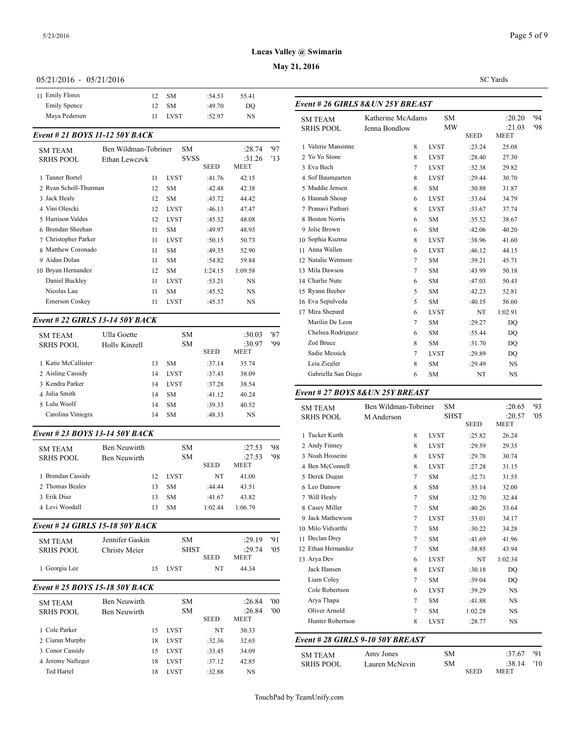**May 21, 2016**

#### 05/21/2016 - 05/21/2016

| 11 Emily Flores     | - SM            | :54.53<br>55.41 |                             |
|---------------------|-----------------|-----------------|-----------------------------|
| <b>Emily Spence</b> | 12 SM           | :49.70<br>DO    | Event # $26$ GII            |
| Mava Pedersen       | <b>LVST</b><br> | NS<br>:52.97    | <b>SM TEAM</b><br>--------- |

## *Event # 21 BOYS 11-12 50Y BACK*

| <b>SM TEAM</b>        | Ben Wildman-Tobriner |             | SM          |             | :28.74  | '97 | 1 Valerie Mansinn  |
|-----------------------|----------------------|-------------|-------------|-------------|---------|-----|--------------------|
| <b>SRHS POOL</b>      | Ethan Lewczyk        |             | <b>SVSS</b> |             | :31.26  | '13 | 2 Yo Yo Stone      |
|                       |                      |             |             | <b>SEED</b> | MEET    |     | 3 Eva Bech         |
| <b>Tanner Bortel</b>  | 11                   | <b>LVST</b> |             | :41.76      | 42.15   |     | 4 Sof Baumgarten   |
| 2 Ryan Scholl-Thurman | 12                   | <b>SM</b>   |             | :42.48      | 42.38   |     | 5 Maddie Jensen    |
| 3 Jack Healy          | 12                   | <b>SM</b>   |             | :43.72      | 44.42   |     | 6 Hannah Shoup     |
| 4 Vini Olescki        | 12                   | <b>LVST</b> |             | :46.13      | 47.47   |     | 7 Pranavi Pathuri  |
| 5 Harrison Valdes     | 12                   | <b>LVST</b> |             | :45.32      | 48.08   |     | 8 Boston Norris    |
| 6 Brendan Sheehan     | 11                   | <b>SM</b>   |             | :49.97      | 48.93   |     | 9 Jolie Brown      |
| 7 Christopher Parker  | 11                   | <b>LVST</b> |             | :50.15      | 50.73   |     | 10 Sophia Kuzma    |
| 8 Matthew Coronado    | 11                   | <b>SM</b>   |             | :49.35      | 52.90   |     | 11 Anna Wallen     |
| 9 Aidan Dolan         | 11                   | <b>SM</b>   |             | :54.82      | 59.84   |     | 12 Natalie Wetmore |
| 10 Bryan Hernandez    | 12                   | SM.         |             | 1:24.15     | 1:09.58 |     | 13 Mila Dawson     |
| Daniel Buckley        | 11                   | <b>LVST</b> |             | :53.21      | NS      |     | 14 Charlie Nute    |
| Nicolas Lau           | 11                   | <b>SM</b>   |             | :45.52      | NS.     |     | 15 Ryann Beeber    |
| <b>Emerson Coskey</b> | 11                   | <b>LVST</b> |             | :45.37      | NS      |     | 16 Eva Sepulveda   |
|                       |                      |             |             |             |         |     |                    |

#### *Event # 22 GIRLS 13-14 50Y BACK*

| Ulla Goette<br>Holly Kinzell |    | SM.<br><b>SM</b> |        | :30.03<br>:30.97 | '87<br>'99  | Chelsea Rodrigu<br>Zoë Bruce |
|------------------------------|----|------------------|--------|------------------|-------------|------------------------------|
|                              |    |                  |        |                  |             | Sadie Messick                |
|                              | 13 | <b>SM</b>        | :37.14 | 35.74            |             | Leia Ziegler                 |
|                              | 14 | <b>LVST</b>      | :37.43 | 38.09            |             | Gabriella San D              |
|                              | 14 | <b>LVST</b>      | :37.28 | 38.54            |             |                              |
|                              | 14 | <b>SM</b>        | :41.12 | 40.24            |             | Event # 27 $BOY$             |
|                              | 14 | <b>SM</b>        | :39.33 | 40.52            |             | <b>SM TEAM</b>               |
|                              | 14 | <b>SM</b>        | :48.33 | NS               |             | <b>SRHS POOL</b>             |
|                              |    |                  |        | <b>SEED</b>      | <b>MEET</b> |                              |

## *Event # 23 BOYS 13-14 50Y BACK*

ł,

l,

| <b>SM TEAM</b><br><b>SRHS POOL</b> | Ben Neuwirth<br><b>Ben Neuwirth</b> |    | <b>SM</b><br><b>SM</b> | <b>SEED</b> | :27.53<br>:27.53<br>MEET | '98<br>'98 | 2 Andy Finney<br>3 Noah Hosseini<br>4 Ben McConnell |
|------------------------------------|-------------------------------------|----|------------------------|-------------|--------------------------|------------|-----------------------------------------------------|
|                                    |                                     |    |                        |             |                          |            |                                                     |
| 1 Brendan Cassidy                  |                                     | 12 | <b>LVST</b>            | NT          | 41.00                    |            | 5 Derek Dugan                                       |
| 2. Thomas Beales                   |                                     | 13 | <b>SM</b>              | :44.44      | 43.51                    |            | 6 Leo Datnow                                        |
| 3 Erik Diaz                        |                                     | 13 | <b>SM</b>              | :41.67      | 43.82                    |            | 7 Will Healy                                        |
| 4 Levi Woodall                     |                                     | 13 | <b>SM</b>              | 1:02.44     | 1:06.79                  |            | 8 Casey Miller                                      |
|                                    |                                     |    |                        |             |                          |            | 9 Jack Mathewsor                                    |
| Event # 24 GIRLS 15-18 50Y BACK    |                                     |    |                        |             |                          |            | 10 Milo Vidyarthi                                   |
| <b>SM TEAM</b>                     | Jennifer Gaskin                     |    | <b>SM</b>              |             | :29.19                   | 91         | 11 Declan Drey                                      |
| <b>SRHS POOL</b>                   | Christy Meier                       |    | <b>SHST</b>            |             | :29.74                   | 0.5        | 12 Ethan Hernande                                   |
|                                    |                                     |    |                        | <b>SEED</b> | MEET                     |            | 13 Arya Dev                                         |
| 1 Georgia Lee                      |                                     | 15 | <b>LVST</b>            | NT          | 44.34                    |            | Jack Hansen                                         |
|                                    |                                     |    |                        |             |                          |            | Liam Coley                                          |
| Event # 25 BOYS 15-18 50Y BACK     |                                     |    |                        |             |                          |            | Cole Robertson                                      |
| <b>SM TEAM</b>                     | Ben Neuwirth                        |    | <b>SM</b>              |             | :26.84                   | '00        | Arya Thapa                                          |
| <b>SRHS POOL</b>                   | Ben Neuwirth                        |    | <b>SM</b>              |             | :26.84                   | '00        | Oliver Arnold                                       |
|                                    |                                     |    |                        | <b>SEED</b> | <b>MEET</b>              |            | <b>Hunter Robertso</b>                              |
| 1 Cole Parker                      |                                     | 15 | <b>LVST</b>            | NT          | 30.33                    |            |                                                     |

2 Ciaran Murphy 18 LVST :32.36 32.65 3 Conor Cassidy 15 LVST :33.45 34.09 4 Jeremy Naftzger 18 LVST :37.12 42.85 Ted Hartel 18 LVST :32.88 NS

| Event # 26 GIRLS 8&UN 25Y BREAST |                   |             |             |                       |     |  |  |
|----------------------------------|-------------------|-------------|-------------|-----------------------|-----|--|--|
| <b>SM TEAM</b>                   | Katherine McAdams | <b>SM</b>   |             | :20.20                | 94  |  |  |
| <b>SRHS POOL</b>                 | Jenna Bondlow     | <b>MW</b>   | <b>SEED</b> | :21.03<br><b>MEET</b> | '98 |  |  |
| 1 Valerie Mansinne               | 8                 | <b>LVST</b> | :23.24      | 25.08                 |     |  |  |
| 2 Yo Yo Stone                    | 8                 | <b>LVST</b> | :28.40      | 27.30                 |     |  |  |
| 3 Eva Bech                       | $\tau$            | <b>LVST</b> | :32.38      | 29.82                 |     |  |  |
| 4 Sof Baumgarten                 | 8                 | <b>LVST</b> | :29.44      | 30.70                 |     |  |  |
| 5 Maddie Jensen                  | 8                 | <b>SM</b>   | :30.88      | 31.87                 |     |  |  |
| 6 Hannah Shoup                   | 6                 | <b>LVST</b> | :33.64      | 34.79                 |     |  |  |
| 7 Pranavi Pathuri                | 8                 | <b>LVST</b> | :33.67      | 37.74                 |     |  |  |
| 8 Boston Norris                  | 6                 | <b>SM</b>   | :35.52      | 38.67                 |     |  |  |
| 9 Jolie Brown                    | 6                 | SM          | :42.06      | 40.20                 |     |  |  |
| 10 Sophia Kuzma                  | 8                 | <b>LVST</b> | :38.96      | 41.60                 |     |  |  |
| 11 Anna Wallen                   | 6                 | <b>LVST</b> | :46.12      | 44.15                 |     |  |  |
| 12 Natalie Wetmore               | 7                 | <b>SM</b>   | :39.21      | 45.71                 |     |  |  |
| 13 Mila Dawson                   | 7                 | <b>SM</b>   | :43.99      | 50.18                 |     |  |  |
| 14 Charlie Nute                  | 6                 | SM          | :47.03      | 50.43                 |     |  |  |
| 15 Ryann Beeber                  | 5                 | <b>SM</b>   | :42.23      | 52.81                 |     |  |  |
| 16 Eva Sepulveda                 | 5                 | <b>SM</b>   | :40.15      | 56.60                 |     |  |  |
| 17 Mira Shepard                  | 6                 | <b>LVST</b> | NT          | 1:02.91               |     |  |  |
| Marilin De Leon                  | 7                 | <b>SM</b>   | :29.27      | DO                    |     |  |  |
| Chelsea Rodriguez                | 6                 | <b>SM</b>   | :55.44      | DO                    |     |  |  |
| Zoë Bruce                        | 8                 | SM          | :31.70      | DO                    |     |  |  |
| Sadie Messick                    | 7                 | <b>LVST</b> | :29.89      | DO                    |     |  |  |

Leia Ziegler 8 SM :29.49 NS Gabriella San Diego 6 SM NT NS

#### *Event # 27 BOYS 8&UN 25Y BREAST*

| <b>SM TEAM</b><br><b>SRHS POOL</b> | Ben Wildman-Tobriner<br>M Anderson |             | <b>SM</b><br><b>SHST</b><br><b>SEED</b> | :20.65<br>:20.57<br><b>MEET</b> | 93<br>'05 |
|------------------------------------|------------------------------------|-------------|-----------------------------------------|---------------------------------|-----------|
| 1 Tucker Kurth                     | 8                                  | <b>LVST</b> | :25.82                                  | 26.24                           |           |
| 2 Andy Finney                      | 8                                  | <b>LVST</b> | :29.59                                  | 29.35                           |           |
| 3 Noah Hosseini                    | 8                                  | <b>LVST</b> | :29.78                                  | 30.74                           |           |
| 4 Ben McConnell                    | 8                                  | <b>LVST</b> | :27.28                                  | 31.15                           |           |
| 5 Derek Dugan                      | $\tau$                             | <b>SM</b>   | :32.71                                  | 31.55                           |           |
| 6 Leo Datnow                       | 8                                  | SM          | :35.14                                  | 32.00                           |           |
| 7 Will Healy                       | 7                                  | <b>SM</b>   | :32.70                                  | 32.44                           |           |
| 8 Casey Miller                     | 7                                  | <b>SM</b>   | :40.26                                  | 33.64                           |           |
| 9 Jack Mathewson                   | $\tau$                             | <b>LVST</b> | :33.01                                  | 34.17                           |           |
| 10 Milo Vidyarthi                  | 7                                  | <b>SM</b>   | :30.22                                  | 34.28                           |           |
| 11 Declan Drey                     | $\overline{7}$                     | <b>SM</b>   | :41.69                                  | 41.96                           |           |
| 12 Ethan Hernandez                 | $\tau$                             | <b>SM</b>   | :38.85                                  | 43.94                           |           |
| 13 Arya Dev                        | 6                                  | <b>LVST</b> | NT                                      | 1:02.34                         |           |
| Jack Hansen                        | 8                                  | <b>LVST</b> | :30.18                                  | DO                              |           |
| Liam Coley                         | 7                                  | <b>SM</b>   | :39.04                                  | DO                              |           |
| Cole Robertson                     | 6                                  | <b>LVST</b> | :39.29                                  | <b>NS</b>                       |           |
| Arya Thapa                         | 7                                  | <b>SM</b>   | :41.88                                  | <b>NS</b>                       |           |
| Oliver Arnold                      | $\tau$                             | <b>SM</b>   | 1:02.28                                 | <b>NS</b>                       |           |
| Hunter Robertson                   | 8                                  | <b>LVST</b> | :28.77                                  | NS                              |           |
|                                    | Event # 28 GIRLS 9-10 50Y BREAST   |             |                                         |                                 |           |
| <b>SM TEAM</b>                     | Amy Jones                          |             | SM                                      | :37.67                          | '91       |
| <b>SRHS POOL</b>                   | Lauren McNevin                     |             | <b>SM</b><br><b>SEED</b>                | :38.14<br><b>MEET</b>           | '10       |

TouchPad by TeamUnify.com

SC Yards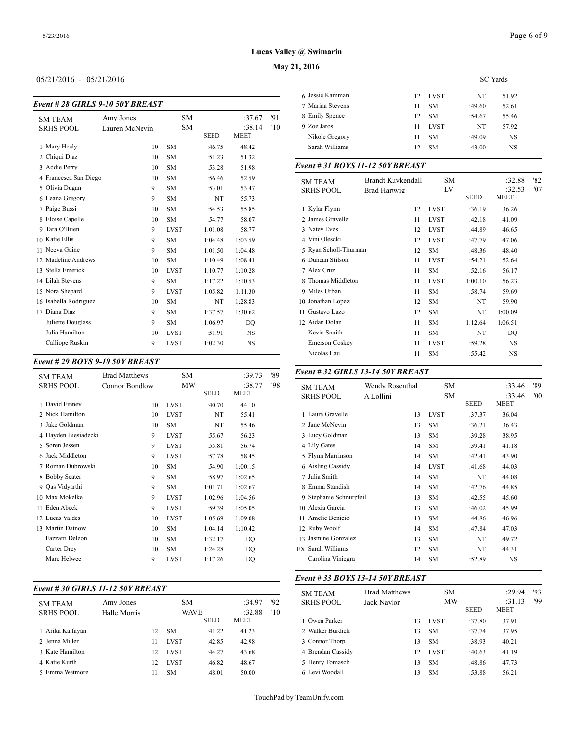## **May 21, 2016**

## 05/21/2016 - 05/21/2016

| <b>Event #28 GIRLS 9-10 50Y BREAST</b> |                |             |             |                       |     | 7 Marina Stevens              |
|----------------------------------------|----------------|-------------|-------------|-----------------------|-----|-------------------------------|
| <b>SM TEAM</b>                         | Amy Jones      | <b>SM</b>   |             | :37.67                | 91  | 8 Emily Spence                |
| <b>SRHS POOL</b>                       | Lauren McNevin | <b>SM</b>   | <b>SEED</b> | :38.14<br><b>MEET</b> | '10 | 9 Zoe Jaros<br>Nikole Gregory |
| 1 Mary Healy                           | 10             | <b>SM</b>   | :46.75      | 48.42                 |     | Sarah Williams                |
| 2 Chiqui Diaz                          | 10             | <b>SM</b>   | :51.23      | 51.32                 |     |                               |
| 3 Addie Perry                          | 10             | <b>SM</b>   | :53.28      | 51.98                 |     | Event # 31 BOY                |
| 4 Francesca San Diego                  | 10             | <b>SM</b>   | :56.46      | 52.59                 |     | <b>SM TEAM</b>                |
| 5 Olivia Dugan                         | 9              | <b>SM</b>   | :53.01      | 53.47                 |     | <b>SRHS POOL</b>              |
| 6 Leana Gregory                        | 9              | <b>SM</b>   | NT          | 55.73                 |     |                               |
| 7 Paige Bussi                          | 10             | <b>SM</b>   | :54.53      | 55.85                 |     | 1 Kylar Flynn                 |
| 8 Eloise Capelle                       | 10             | <b>SM</b>   | :54.77      | 58.07                 |     | 2 James Gravelle              |
| 9 Tara O'Brien                         | 9              | <b>LVST</b> | 1:01.08     | 58.77                 |     | 3 Natey Eves                  |
| 10 Katie Ellis                         | 9              | <b>SM</b>   | 1:04.48     | 1:03.59               |     | 4 Vini Olescki                |
| 11 Neeva Gaine                         | 9              | <b>SM</b>   | 1:01.50     | 1:04.48               |     | 5 Ryan Scholl-Thi             |
| 12 Madeline Andrews                    | 10             | <b>SM</b>   | 1:10.49     | 1:08.41               |     | 6 Duncan Stilson              |
| 13 Stella Emerick                      | 10             | <b>LVST</b> | 1:10.77     | 1:10.28               |     | 7 Alex Cruz                   |
| 14 Lilah Stevens                       | 9              | <b>SM</b>   | 1:17.22     | 1:10.53               |     | 8 Thomas Middlet              |
| 15 Nora Shepard                        | 9              | <b>LVST</b> | 1:05.82     | 1:11.30               |     | 9 Miles Urban                 |
| 16 Isabella Rodriguez                  | 10             | <b>SM</b>   | <b>NT</b>   | 1:28.83               |     | 10 Jonathan Lopez             |
| 17 Diana Diaz                          | 9              | <b>SM</b>   | 1:37.57     | 1:30.62               |     | 11 Gustavo Lazo               |
| Juliette Douglass                      | 9              | <b>SM</b>   | 1:06.97     | DO                    |     | 12 Aidan Dolan                |
| Julia Hamilton                         | 10             | <b>LVST</b> | :51.91      | <b>NS</b>             |     | Kevin Snaith                  |
| Calliope Ruskin                        | 9              | <b>LVST</b> | 1:02.30     | NS                    |     | <b>Emerson Coskey</b>         |
|                                        |                |             |             |                       |     | Nicolas Lau                   |

| <b>SM TEAM</b>       | <b>Brad Matthews</b> | SM          |             | :39.73         | '89 | Event # 32 GIRI                    |
|----------------------|----------------------|-------------|-------------|----------------|-----|------------------------------------|
| <b>SRHS POOL</b>     | Connor Bondlow       | MW          | <b>SEED</b> | :38.77<br>MEET | '98 | <b>SM TEAM</b><br><b>SRHS POOL</b> |
| 1 David Finney       | 10                   | <b>LVST</b> | :40.70      | 44.10          |     |                                    |
| 2 Nick Hamilton      | 10                   | <b>LVST</b> | NT          | 55.41          |     | 1 Laura Gravelle                   |
| 3 Jake Goldman       | 10                   | <b>SM</b>   | NT          | 55.46          |     | 2 Jane McNevin                     |
| 4 Hayden Biesiadecki | 9                    | <b>LVST</b> | :55.67      | 56.23          |     | 3 Lucy Goldman                     |
| 5 Soren Jessen       | 9                    | <b>LVST</b> | :55.81      | 56.74          |     | 4 Lily Gates                       |
| 6 Jack Middleton     | 9                    | <b>LVST</b> | :57.78      | 58.45          |     | 5 Flynn Marrinsor                  |
| 7 Roman Dubrowski    | 10                   | <b>SM</b>   | :54.90      | 1:00.15        |     | 6 Aisling Cassidy                  |
| 8 Bobby Seater       | 9                    | <b>SM</b>   | :58.97      | 1:02.65        |     | 7 Julia Smith                      |
| 9 Oas Vidyarthi      | 9                    | SM          | 1:01.71     | 1:02.67        |     | 8 Emma Standish                    |
| 10 Max Mokelke       | 9                    | <b>LVST</b> | 1:02.96     | 1:04.56        |     | 9 Stephanie Schnu                  |
| 11 Eden Abeck        | 9                    | <b>LVST</b> | :59.39      | 1:05.05        |     | 10 Alexia Garcia                   |
| 12 Lucas Valdes      | 10                   | <b>LVST</b> | 1:05.69     | 1:09.08        |     | 11 Amelie Benicio                  |
| 13 Martin Datnow     | 10                   | <b>SM</b>   | 1:04.14     | 1:10.42        |     | 12 Ruby Woolf                      |
| Fazzatti Deleon      | 10                   | <b>SM</b>   | 1:32.17     | DO             |     | 13 Jasmine Gonzal                  |
| Carter Drey          | 10                   | SM          | 1:24.28     | DQ             |     | EX Sarah Williams                  |
| Marc Helwee          | 9                    | <b>LVST</b> | 1:17.26     | DO             |     | Carolina Viniegi                   |
|                      |                      |             |             |                |     |                                    |

## *Event # 30 GIRLS 11-12 50Y BREAST*

|                  |              |    |             |             |        |     | SM TEAM           |
|------------------|--------------|----|-------------|-------------|--------|-----|-------------------|
| <b>SM TEAM</b>   | Amy Jones    |    | SM.         |             | :34.97 | 92  | <b>SRHS POOL</b>  |
| <b>SRHS POOL</b> | Halle Morris |    | <b>WAVE</b> |             | :32.88 | '10 |                   |
|                  |              |    |             | <b>SEED</b> | MEET   |     | 1 Owen Parker     |
| 1 Arika Kalfayan |              | 12 | <b>SM</b>   | :41.22      | 41.23  |     | 2 Walker Burdick  |
| 2 Jenna Miller   |              | 11 | <b>LVST</b> | :42.85      | 42.98  |     | 3 Connor Thorp    |
| 3 Kate Hamilton  |              | 12 | <b>LVST</b> | :44.27      | 43.68  |     | 4 Brendan Cassidy |
| 4 Katie Kurth    |              | 12 | <b>LVST</b> | :46.82      | 48.67  |     | 5 Henry Tomasch   |
| 5 Emma Wetmore   |              | 11 | SM          | :48.01      | 50.00  |     | 6 Levi Woodall    |
|                  |              |    |             |             |        |     |                   |

|                  |    |             | <b>SC</b> Yards |       |  |
|------------------|----|-------------|-----------------|-------|--|
| 6 Jessie Kamman  | 12 | LVST        | NT              | 51.92 |  |
| 7 Marina Stevens | 11 | <b>SM</b>   | :49.60          | 52.61 |  |
| 8 Emily Spence   | 12 | <b>SM</b>   | :54.67          | 55.46 |  |
| 9 Zoe Jaros      | 11 | <b>LVST</b> | NT              | 57.92 |  |
| Nikole Gregory   | 11 | <b>SM</b>   | :49.09          | NS    |  |
| Sarah Williams   | 12 | <b>SM</b>   | :43.00          | NS    |  |
|                  |    |             |                 |       |  |

#### *Event # 31 BOYS 11-12 50Y BREAST*

| <b>SM TEAM</b>        | <b>Brandt Kuvkendall</b> | <b>SM</b>   |         | :32.88         | '82 |
|-----------------------|--------------------------|-------------|---------|----------------|-----|
| <b>SRHS POOL</b>      | Brad Hartwig             | LV          | SEED    | :32.53<br>MEET | '07 |
|                       |                          |             |         |                |     |
| 1 Kylar Flynn         | 12                       | <b>LVST</b> | :36.19  | 36.26          |     |
| 2 James Gravelle      | 11                       | <b>LVST</b> | :42.18  | 41.09          |     |
| 3 Natey Eves          | 12                       | <b>LVST</b> | :44.89  | 46.65          |     |
| 4 Vini Olescki        | 12                       | <b>LVST</b> | :47.79  | 47.06          |     |
| 5 Ryan Scholl-Thurman | 12                       | <b>SM</b>   | :48.36  | 48.40          |     |
| 6 Duncan Stilson      | 11                       | <b>LVST</b> | :54.21  | 52.64          |     |
| 7 Alex Cruz           | 11                       | <b>SM</b>   | :52.16  | 56.17          |     |
| 8 Thomas Middleton    | 11                       | <b>LVST</b> | 1:00.10 | 56.23          |     |
| 9 Miles Urban         | 11                       | <b>SM</b>   | :58.74  | 59.69          |     |
| 10 Jonathan Lopez     | 12                       | <b>SM</b>   | NT      | 59.90          |     |
| Gustavo Lazo<br>11    | 12                       | <b>SM</b>   | NT      | 1:00.09        |     |
| 12 Aidan Dolan        | 11                       | <b>SM</b>   | 1:12.64 | 1:06.51        |     |
| Kevin Snaith          | 11                       | <b>SM</b>   | NT      | DQ             |     |
| <b>Emerson Coskey</b> | 11                       | <b>LVST</b> | :59.28  | <b>NS</b>      |     |
| Nicolas Lau           | 11                       | <b>SM</b>   | :55.42  | NS             |     |
|                       |                          |             |         |                |     |

#### *Event # 32 GIRLS 13-14 50Y BREAST*

| <b>SM TEAM</b>          | Wendy Rosenthal | <b>SM</b>   |             | :33.46 | '89 |
|-------------------------|-----------------|-------------|-------------|--------|-----|
| <b>SRHS POOL</b>        | A Lollini       | SM          |             | :33.46 | '00 |
|                         |                 |             | <b>SEED</b> | MEET   |     |
| 1 Laura Gravelle        | 13              | <b>LVST</b> | :37.37      | 36.04  |     |
| 2 Jane McNevin          | 13              | <b>SM</b>   | :36.21      | 36.43  |     |
| 3 Lucy Goldman          | 13              | <b>SM</b>   | :39.28      | 38.95  |     |
| 4 Lily Gates            | 14              | <b>SM</b>   | :39.41      | 41.18  |     |
| 5 Flynn Marrinson       | 14              | <b>SM</b>   | :42.41      | 43.90  |     |
| 6 Aisling Cassidy       | 14              | <b>LVST</b> | :41.68      | 44.03  |     |
| 7 Julia Smith           | 14              | <b>SM</b>   | NT          | 44.08  |     |
| 8 Emma Standish         | 14              | <b>SM</b>   | :42.76      | 44.85  |     |
| 9 Stephanie Schnurpfeil | 13              | <b>SM</b>   | :42.55      | 45.60  |     |
| 10 Alexia Garcia        | 13              | <b>SM</b>   | :46.02      | 45.99  |     |
| 11 Amelie Benicio       | 13              | <b>SM</b>   | :44.86      | 46.96  |     |
| 12 Ruby Woolf           | 14              | <b>SM</b>   | :47.84      | 47.03  |     |
| 13 Jasmine Gonzalez     | 13              | <b>SM</b>   | NT          | 49.72  |     |
| EX Sarah Williams       | 12              | <b>SM</b>   | NT          | 44.31  |     |
| Carolina Viniegra       | 14              | <b>SM</b>   | :52.89      | NS     |     |
|                         |                 |             |             |        |     |

## *Event # 33 BOYS 13-14 50Y BREAST*

| <b>SM TEAM</b><br><b>SRHS POOL</b> | <b>Brad Matthews</b><br>Jack Navlor |    | SМ<br>MW    | <b>SEED</b> | :29.94<br>:31.13<br>MEET | '93<br>'99 |
|------------------------------------|-------------------------------------|----|-------------|-------------|--------------------------|------------|
| 1 Owen Parker                      |                                     | 13 | <b>LVST</b> | :37.80      | 37.91                    |            |
| 2 Walker Burdick                   |                                     | 13 | <b>SM</b>   | :37.74      | 37.95                    |            |
| 3 Connor Thorp                     |                                     | 13 | <b>SM</b>   | :38.93      | 40.21                    |            |
| 4 Brendan Cassidy                  |                                     | 12 | <b>LVST</b> | :40.63      | 41.19                    |            |
| 5 Henry Tomasch                    |                                     | 13 | <b>SM</b>   | :48.86      | 47.73                    |            |
| 6 Levi Woodall                     |                                     | 13 | <b>SM</b>   | :53.88      | 56.21                    |            |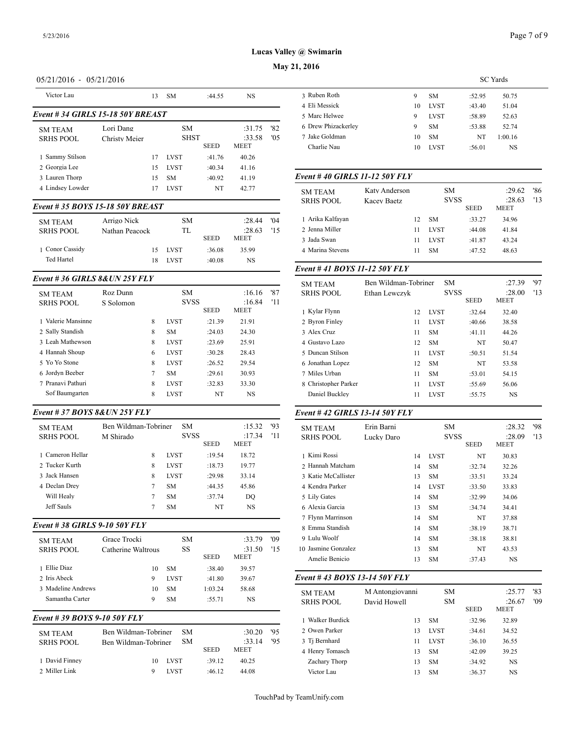## **May 21, 2016**

## 05/21/2016 - 05/21/2016

| Victor Lau                         |                            | 13 | <b>SM</b>          | :44.55      | <b>NS</b>                       |            | 3 Ruben Roth                                      |
|------------------------------------|----------------------------|----|--------------------|-------------|---------------------------------|------------|---------------------------------------------------|
| Event #34 GIRLS 15-18 50Y BREAST   |                            |    |                    |             |                                 |            | 4 Eli Messick<br>5 Marc Helwee                    |
| <b>SM TEAM</b><br><b>SRHS POOL</b> | Lori Dang<br>Christy Meier |    | SM.<br><b>SHST</b> | <b>SEED</b> | :31.75<br>:33.58<br><b>MEET</b> | '82<br>0.5 | 6 Drew Phizacker<br>7 Jake Goldman<br>Charlie Nau |
| 1 Sammy Stilson                    |                            | 17 | <b>LVST</b>        | :41.76      | 40.26                           |            |                                                   |
| 2 Georgia Lee                      |                            | 15 | <b>LVST</b>        | :40.34      | 41.16                           |            |                                                   |
| 3 Lauren Thorp                     |                            | 15 | <b>SM</b>          | :40.92      | 41.19                           |            | Event #40 GIRI                                    |
| 4 Lindsey Lowder                   |                            | 17 | <b>LVST</b>        | NT          | 42.77                           |            | <b>SM TEAM</b>                                    |

#### *Event # 35 BOYS 15-18 50Y BREAST*

| <b>SM TEAM</b><br><b>SRHS POOL</b> | Arrigo Nick<br>Nathan Peacock | SM.<br>TL   |             | :28.44<br>:28.63 | '04<br>115 | 1 Arika Kalfayan<br>2 Jenna Miller |
|------------------------------------|-------------------------------|-------------|-------------|------------------|------------|------------------------------------|
|                                    |                               |             | <b>SEED</b> | <b>MEET</b>      |            | 3 Jada Swan                        |
| 1 Conor Cassidy                    | 15                            | LVST        | :36.08      | 35.99            |            | 4 Marina Stevens                   |
| Ted Hartel                         | 18                            | <b>LVST</b> | :40.08      | NS               |            |                                    |
|                                    |                               |             |             |                  |            | $E \sim 11.41 \text{ PAV}$         |

#### *Event # 36 GIRLS 8&UN 25Y FLY*

|                    |           |   |             |             |             |     | <b>OVELLAN</b>     |
|--------------------|-----------|---|-------------|-------------|-------------|-----|--------------------|
| <b>SM TEAM</b>     | Roz Dunn  |   | <b>SM</b>   |             | :16.16      | '87 | <b>SRHS POOL</b>   |
| <b>SRHS POOL</b>   | S Solomon |   | <b>SVSS</b> |             | :16.84      | '11 |                    |
|                    |           |   |             | <b>SEED</b> | <b>MEET</b> |     | 1 Kylar Flynn      |
| 1 Valerie Mansinne |           | 8 | <b>LVST</b> | :21.39      | 21.91       |     | 2 Byron Finley     |
| 2 Sally Standish   |           | 8 | <b>SM</b>   | :24.03      | 24.30       |     | 3 Alex Cruz        |
| 3 Leah Mathewson   |           | 8 | <b>LVST</b> | :23.69      | 25.91       |     | 4 Gustavo Lazo     |
| 4 Hannah Shoup     |           | 6 | <b>LVST</b> | :30.28      | 28.43       |     | 5 Duncan Stilson   |
| 5 Yo Yo Stone      |           | 8 | <b>LVST</b> | :26.52      | 29.54       |     | 6 Jonathan Lopez   |
| 6 Jordyn Beeber    |           | 7 | <b>SM</b>   | :29.61      | 30.93       |     | 7 Miles Urban      |
| 7 Pranavi Pathuri  |           | 8 | <b>LVST</b> | :32.83      | 33.30       |     | 8 Christopher Parl |
| Sof Baumgarten     |           | 8 | <b>LVST</b> | NT          | NS.         |     | Daniel Buckley     |
|                    |           |   |             |             |             |     |                    |

# *Event # 37 BOYS 8&UN 25Y FLY*

| Eveni # 37 DO IS 0&UN 231 FLI      |                                   |                          |             |                                 |           | $E$ veni # 42 GIKI                  |
|------------------------------------|-----------------------------------|--------------------------|-------------|---------------------------------|-----------|-------------------------------------|
| <b>SM TEAM</b><br><b>SRHS POOL</b> | Ben Wildman-Tobriner<br>M Shirado | <b>SM</b><br><b>SVSS</b> | <b>SEED</b> | :15.32<br>:17.34<br><b>MEET</b> | 93<br>'11 | <b>SM TEAM</b><br><b>SRHS POOL</b>  |
| 1 Cameron Hellar                   | 8                                 | <b>LVST</b>              | :19.54      | 18.72                           |           | 1 Kimi Rossi                        |
| 2 Tucker Kurth                     | 8                                 | <b>LVST</b>              | :18.73      | 19.77                           |           | 2 Hannah Matchar                    |
| 3 Jack Hansen                      | 8                                 | <b>LVST</b>              | :29.98      | 33.14                           |           | 3 Katie McCalliste                  |
| 4 Declan Drey                      | 7                                 | <b>SM</b>                | :44.35      | 45.86                           |           | 4 Kendra Parker                     |
| Will Healy                         | 7                                 | <b>SM</b>                | :37.74      | DO                              |           | 5 Lily Gates                        |
| Jeff Sauls                         | 7                                 | <b>SM</b>                | NT          | NS                              |           | 6 Alexia Garcia                     |
|                                    |                                   |                          |             |                                 |           | 7 Flynn Marrinsor                   |
| Event # 38 GIRLS 9-10 50Y FLY      |                                   |                          |             |                                 |           | 8 Emma Standish                     |
| <b>SM TEAM</b>                     | Grace Trocki                      | <b>SM</b>                |             | :33.79                          | '09       | 9 Lulu Woolf                        |
| <b>SRHS POOL</b>                   | Catherine Waltrous                | SS                       | <b>SEED</b> | :31.50<br>MEET                  | 15        | 10 Jasmine Gonzal<br>Amelie Benicio |
| 1 Ellie Diaz                       | 10                                | <b>SM</b>                | :38.40      | 39.57                           |           |                                     |
| 2 Iris Abeck                       | 9                                 | <b>LVST</b>              | :41.80      | 39.67                           |           | Event #43 BOY                       |
| 3 Madeline Andrews                 | 10                                | <b>SM</b>                | 1:03.24     | 58.68                           |           | <b>SM TEAM</b>                      |
| Samantha Carter                    | 9                                 | <b>SM</b>                | :55.71      | <b>NS</b>                       |           | <b>SRHS POOL</b>                    |
| Event # 39 BOYS 9-10 50Y FLY       |                                   |                          |             |                                 |           | 1 Walker Burdick                    |

| <b>SM TEAM</b>   | Ben Wildman-Tobriner | SМ          | :30.20      | -195  | 2 Owen Parker   |
|------------------|----------------------|-------------|-------------|-------|-----------------|
| <b>SRHS POOL</b> | Ben Wildman-Tobriner | <b>SM</b>   | :33.14      | - '95 | 3 Ti Bernhard   |
|                  |                      | <b>SEED</b> | <b>MEET</b> |       | 4 Henry Tomasch |
| 1 David Finney   | <b>LVST</b><br>10    | :39.12      | 40.25       |       | Zachary Thorp   |
| 2 Miller Link    | <b>LVST</b>          | :46.12      | 44.08       |       | Victor Lau      |
|                  |                      |             |             |       |                 |

|                     | <b>SC</b> Yards |             |        |         |  |  |  |  |  |
|---------------------|-----------------|-------------|--------|---------|--|--|--|--|--|
| 3 Ruben Roth        | 9               | <b>SM</b>   | :52.95 | 50.75   |  |  |  |  |  |
| 4 Eli Messick       | 10              | <b>LVST</b> | :43.40 | 51.04   |  |  |  |  |  |
| 5 Marc Helwee       | 9               | <b>LVST</b> | :58.89 | 52.63   |  |  |  |  |  |
| 6 Drew Phizackerley | 9               | <b>SM</b>   | :53.88 | 52.74   |  |  |  |  |  |
| 7 Jake Goldman      | 10              | <b>SM</b>   | NT     | 1:00.16 |  |  |  |  |  |
| Charlie Nau         | 10              | <b>LVST</b> | :56.01 | NS      |  |  |  |  |  |
|                     |                 |             |        |         |  |  |  |  |  |

#### *Event # 40 GIRLS 11-12 50Y FLY*

| <b>SM TEAM</b><br><b>SRHS POOL</b> | Katy Anderson<br>Kacev Baetz |    | <b>SM</b><br><b>SVSS</b> | <b>SEED</b> | :29.62<br>:28.63<br><b>MEET</b> | '86<br>13 |
|------------------------------------|------------------------------|----|--------------------------|-------------|---------------------------------|-----------|
| 1 Arika Kalfayan                   |                              | 12 | <b>SM</b>                | :33.27      | 34.96                           |           |
| 2 Jenna Miller                     |                              | 11 | <b>LVST</b>              | :44.08      | 41.84                           |           |
| 3 Jada Swan                        |                              | 11 | <b>LVST</b>              | :41.87      | 43.24                           |           |
| 4 Marina Stevens                   |                              | 11 | <b>SM</b>                | :47.52      | 48.63                           |           |

#### *Event # 41 BOYS 11-12 50Y FLY*

| <b>SM TEAM</b>       | Ben Wildman-Tobriner | <b>SM</b>   |             | :27.39                | '97 |
|----------------------|----------------------|-------------|-------------|-----------------------|-----|
| <b>SRHS POOL</b>     | Ethan Lewczyk        | <b>SVSS</b> | <b>SEED</b> | :28.00<br><b>MEET</b> | '13 |
| 1 Kylar Flynn        | 12                   | <b>LVST</b> | :32.64      | 32.40                 |     |
| 2 Byron Finley       | 11                   | <b>LVST</b> | :40.66      | 38.58                 |     |
| 3 Alex Cruz          | 11                   | <b>SM</b>   | :41.11      | 44.26                 |     |
| 4 Gustavo Lazo       | 12                   | <b>SM</b>   | NT          | 50.47                 |     |
| 5 Duncan Stilson     | 11                   | <b>LVST</b> | :50.51      | 51.54                 |     |
| 6 Jonathan Lopez     | 12                   | <b>SM</b>   | NT          | 53.58                 |     |
| 7 Miles Urban        | 11                   | <b>SM</b>   | :53.01      | 54.15                 |     |
| 8 Christopher Parker | 11                   | <b>LVST</b> | :55.69      | 56.06                 |     |
| Daniel Buckley       | 11                   | <b>LVST</b> | :55.75      | <b>NS</b>             |     |
|                      |                      |             |             |                       |     |

## *Event # 42 GIRLS 13-14 50Y FLY*

| <b>SM TEAM</b>      | Erin Barni | SМ |             |             | :28.32    | '98 |
|---------------------|------------|----|-------------|-------------|-----------|-----|
| <b>SRHS POOL</b>    | Lucky Daro |    | <b>SVSS</b> |             | :28.09    | '13 |
|                     |            |    |             | <b>SEED</b> | MEET      |     |
| 1 Kimi Rossi        |            | 14 | <b>LVST</b> | NT          | 30.83     |     |
| 2 Hannah Matcham    |            | 14 | <b>SM</b>   | :32.74      | 32.26     |     |
| 3 Katie McCallister |            | 13 | <b>SM</b>   | :33.51      | 33.24     |     |
| 4 Kendra Parker     |            | 14 | <b>LVST</b> | :33.50      | 33.83     |     |
| 5 Lily Gates        |            | 14 | <b>SM</b>   | :32.99      | 34.06     |     |
| 6 Alexia Garcia     |            | 13 | <b>SM</b>   | :34.74      | 34.41     |     |
| 7 Flynn Marrinson   |            | 14 | <b>SM</b>   | NT          | 37.88     |     |
| 8 Emma Standish     |            | 14 | <b>SM</b>   | :38.19      | 38.71     |     |
| 9 Lulu Woolf        |            | 14 | <b>SM</b>   | :38.18      | 38.81     |     |
| 10 Jasmine Gonzalez |            | 13 | <b>SM</b>   | NT          | 43.53     |     |
| Amelie Benicio      |            | 13 | <b>SM</b>   | :37.43      | <b>NS</b> |     |
|                     |            |    |             |             |           |     |

## *Event # 43 BOYS 13-14 50Y FLY*

| <b>SEED</b><br><b>MEET</b>                             |
|--------------------------------------------------------|
| 1 Walker Burdick<br><b>SM</b><br>:32.96<br>32.89<br>13 |
| 2 Owen Parker<br><b>LVST</b><br>34.52<br>:34.61<br>13  |
| 3 Ti Bernhard<br><b>LVST</b><br>36.55<br>:36.10<br>11  |
| 4 Henry Tomasch<br>39.25<br><b>SM</b><br>:42.09<br>13  |
| Zachary Thorp<br><b>SM</b><br>:34.92<br>NS<br>13       |
| Victor Lau<br>NS<br><b>SM</b><br>:36.37<br>13          |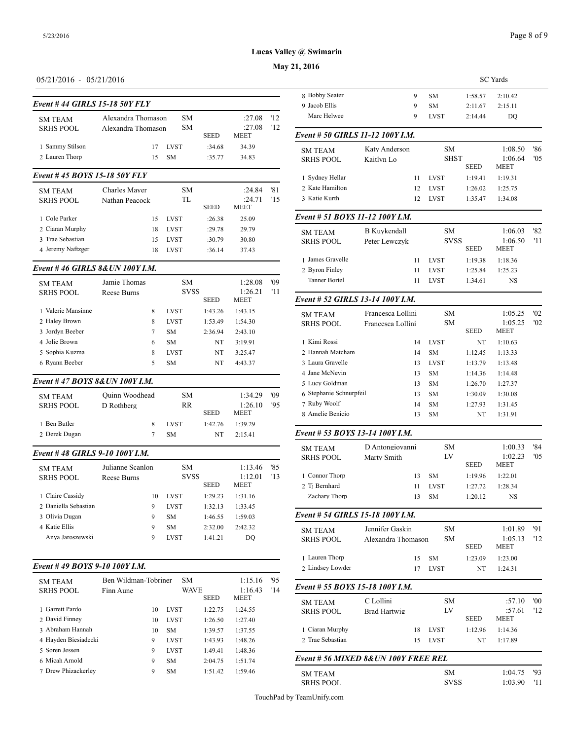## **May 21, 2016**

## 05/21/2016 - 05/21/2016

| Event #44 GIRLS 15-18 50Y FLY |                    | 9 Jacob Ellis |             |                       |    |                  |
|-------------------------------|--------------------|---------------|-------------|-----------------------|----|------------------|
| <b>SM TEAM</b>                | Alexandra Thomason | SM.           |             | :27.08                | 12 | Marc Helwee      |
| <b>SRHS POOL</b>              | Alexandra Thomason | SM.           | <b>SEED</b> | :27.08<br><b>MEET</b> | 12 | Event # 50 GIRI  |
| 1 Sammy Stilson               | 17                 | <b>LVST</b>   | :34.68      | 34.39                 |    | <b>SM TEAM</b>   |
| 2 Lauren Thorp                | 15                 | <b>SM</b>     | :35.77      | 34.83                 |    | <b>SRHS POOL</b> |

## *Event # 45 BOYS 15-18 50Y FLY*

| <b>SM TEAM</b><br><b>SRHS POOL</b> | <b>Charles Mayer</b><br>Nathan Peacock | SM.<br>TL   | <b>SEED</b> | :24.84<br>:24.71<br><b>MEET</b> | '81<br>15 | 2 Kate Hamilton<br>3 Katie Kurth |
|------------------------------------|----------------------------------------|-------------|-------------|---------------------------------|-----------|----------------------------------|
| 1 Cole Parker                      | 15                                     | <b>LVST</b> | :26.38      | 25.09                           |           | Event # 51 BOY                   |
| 2 Ciaran Murphy                    | 18                                     | <b>LVST</b> | :29.78      | 29.79                           |           | <b>SM TEAM</b>                   |
| 3 Trae Sebastian                   | 15                                     | <b>LVST</b> | :30.79      | 30.80                           |           | <b>SRHS POOL</b>                 |
| 4 Jeremy Naftzger                  | 18                                     | <b>LVST</b> | :36.14      | 37.43                           |           |                                  |
|                                    |                                        |             |             |                                 |           | ________                         |

## *Event # 46 GIRLS 8&UN 100Y I.M.*

| <b>SM TEAM</b>     | Jamie Thomas |   | <b>SM</b>   |             | 1:28.08                | '09 | Tanner Bortel    |
|--------------------|--------------|---|-------------|-------------|------------------------|-----|------------------|
| <b>SRHS POOL</b>   | Reese Burns  |   | <b>SVSS</b> | <b>SEED</b> | 1:26.21<br><b>MEET</b> | '11 | Event # 52 GIRI  |
| 1 Valerie Mansinne |              | 8 | <b>LVST</b> | 1:43.26     | 1:43.15                |     | <b>SM TEAM</b>   |
| 2 Haley Brown      |              | 8 | <b>LVST</b> | 1:53.49     | 1:54.30                |     | <b>SRHS POOL</b> |
| 3 Jordyn Beeber    |              | 7 | <b>SM</b>   | 2:36.94     | 2:43.10                |     |                  |
| 4 Jolie Brown      |              | 6 | <b>SM</b>   | NT          | 3:19.91                |     | 1 Kimi Rossi     |
| 5 Sophia Kuzma     |              | 8 | <b>LVST</b> | NT          | 3:25.47                |     | 2 Hannah Matchar |
| 6 Ryann Beeber     |              | 5 | <b>SM</b>   | NT          | 4:43.37                |     | 3 Laura Gravelle |
|                    |              |   |             |             |                        |     | 4 Jane McNevin   |

#### *Event # 47 BOYS 8&UN 100Y I.M.*

| <b>SM TEAM</b><br><b>SRHS POOL</b> | Quinn Woodhead<br>D Rothberg | SM.<br>RR   | <b>SEED</b> | 1:34.29<br>1:26.10<br><b>MEET</b> | '09<br>'95 | 6 Stephanie Schnu<br>7 Ruby Woolf<br>8 Amelie Benicio |
|------------------------------------|------------------------------|-------------|-------------|-----------------------------------|------------|-------------------------------------------------------|
| 1 Ben Butler                       |                              | <b>LVST</b> | 1:42.76     | 1.39.29                           |            | Event # 53 $BOY_0$                                    |
| 2 Derek Dugan                      |                              | <b>SM</b>   | NT          | 2.1541                            |            |                                                       |

## *Event # 48 GIRLS 9-10 100Y I.M.*

| <b>SM TEAM</b>       | Julianne Scanlon | SM.         |             | 1:13.46                | '85 |                  |
|----------------------|------------------|-------------|-------------|------------------------|-----|------------------|
| <b>SRHS POOL</b>     | Reese Burns      | <b>SVSS</b> | <b>SEED</b> | 1:12.01<br><b>MEET</b> | 13  | 1 Connor Thorp   |
|                      |                  |             |             |                        |     | 2 Ti Bernhard    |
| 1 Claire Cassidy     | 10               | <b>LVST</b> | 1:29.23     | 1:31.16                |     | Zachary Thorp    |
| 2 Daniella Sebastian | 9                | <b>LVST</b> | 1:32.13     | 1:33.45                |     |                  |
| 3 Olivia Dugan       | 9                | <b>SM</b>   | 1:46.55     | 1:59.03                |     | Event # 54 GIRI  |
| 4 Katie Ellis        | 9                | <b>SM</b>   | 2:32.00     | 2:42.32                |     | <b>SM TEAM</b>   |
| Anya Jaroszewski     | 9                | <b>LVST</b> | 1:41.21     | DO                     |     | <b>SRHS POOL</b> |

## *Event # 49 BOYS 9-10 100Y I.M.*

| <b>SM TEAM</b>       | Ben Wildman-Tobriner |    | <b>SM</b>   |             | 1:15.16     | '95 |                                    |
|----------------------|----------------------|----|-------------|-------------|-------------|-----|------------------------------------|
| <b>SRHS POOL</b>     | Finn Aune            |    | <b>WAVE</b> |             | 1:16.43     | '14 | Event # 55 $BOY$                   |
|                      |                      |    |             | <b>SEED</b> | <b>MEET</b> |     |                                    |
| 1 Garrett Pardo      |                      | 10 | <b>LVST</b> | 1:22.75     | 1:24.55     |     | <b>SM TEAM</b><br><b>SRHS POOL</b> |
| 2 David Finney       |                      | 10 | <b>LVST</b> | 1:26.50     | 1:27.40     |     |                                    |
| 3 Abraham Hannah     |                      | 10 | <b>SM</b>   | 1:39.57     | 1:37.55     |     | 1 Ciaran Murphy                    |
| 4 Hayden Biesiadecki |                      | 9  | <b>LVST</b> | 1:43.93     | 1:48.26     |     | 2 Trae Sebastian                   |
| 5 Soren Jessen       |                      | 9  | <b>LVST</b> | 1:49.41     | 1:48.36     |     |                                    |
| 6 Micah Arnold       |                      | 9  | <b>SM</b>   | 2:04.75     | 1:51.74     |     | Event # 56 MIX                     |
| 7 Drew Phizackerley  |                      | 9  | <b>SM</b>   | 1:51.42     | 1:59.46     |     | <b>SM TEAM</b>                     |

|                      |                                  |    |             |             | <b>SC</b> Yards        |     |
|----------------------|----------------------------------|----|-------------|-------------|------------------------|-----|
| 8 Bobby Seater       | 9                                |    | <b>SM</b>   | 1:58.57     | 2:10.42                |     |
| 9 Jacob Ellis        | 9                                |    | <b>SM</b>   | 2:11.67     | 2:15.11                |     |
| Marc Helwee          | 9                                |    | <b>LVST</b> | 2:14.44     | DO                     |     |
|                      | Event # 50 GIRLS 11-12 100Y I.M. |    |             |             |                        |     |
| <b>SM TEAM</b>       | Katy Anderson                    |    | <b>SM</b>   |             | 1:08.50                | '86 |
| <b>SRHS POOL</b>     | Kaitlyn Lo                       |    | <b>SHST</b> | <b>SEED</b> | 1:06.64<br><b>MEET</b> | '05 |
| 1 Sydney Hellar      |                                  | 11 | <b>LVST</b> | 1:19.41     | 1:19.31                |     |
| 2 Kate Hamilton      |                                  | 12 | <b>LVST</b> | 1:26.02     | 1:25.75                |     |
| 3 Katie Kurth        |                                  | 12 | <b>LVST</b> | 1:35.47     | 1:34.08                |     |
|                      | Event # 51 BOYS 11-12 100Y I.M.  |    |             |             |                        |     |
| <b>SM TEAM</b>       | <b>B</b> Kuvkendall              |    | <b>SM</b>   |             | 1:06.03                | '82 |
| <b>SRHS POOL</b>     | Peter Lewczyk                    |    | <b>SVSS</b> | <b>SEED</b> | 1:06.50<br><b>MEET</b> | '11 |
| 1 James Gravelle     |                                  | 11 | <b>LVST</b> | 1:19.38     | 1:18.36                |     |
| 2 Byron Finley       |                                  | 11 | <b>LVST</b> | 1:25.84     | 1:25.23                |     |
| <b>Tanner Bortel</b> |                                  | 11 | <b>LVST</b> | 1:34.61     | <b>NS</b>              |     |
|                      | Event # 52 GIRLS 13-14 100Y I.M. |    |             |             |                        |     |
| <b>SM TEAM</b>       | Francesca Lollini                |    | <b>SM</b>   |             | 1:05.25                | '02 |

| <b>SM TEAM</b>          | Francesca Lollini | SМ          |             | 1:05.25     | '02 |
|-------------------------|-------------------|-------------|-------------|-------------|-----|
| <b>SRHS POOL</b>        | Francesca Lollini | <b>SM</b>   |             | 1:05.25     | '02 |
|                         |                   |             | <b>SEED</b> | <b>MEET</b> |     |
| 1 Kimi Rossi            | 14                | <b>LVST</b> | NT          | 1:10.63     |     |
| 2 Hannah Matcham        | 14                | <b>SM</b>   | 1:12.45     | 1:13.33     |     |
| 3 Laura Gravelle        | 13                | <b>LVST</b> | 1:13.79     | 1:13.48     |     |
| 4 Jane McNevin          | 13                | <b>SM</b>   | 1:14.36     | 1:14.48     |     |
| 5 Lucy Goldman          | 13                | <b>SM</b>   | 1:26.70     | 1:27.37     |     |
| 6 Stephanie Schnurpfeil | 13                | <b>SM</b>   | 1:30.09     | 1:30.08     |     |
| 7 Ruby Woolf            | 14                | <b>SM</b>   | 1:27.93     | 1:31.45     |     |
| 8 Amelie Benicio        | 13                | <b>SM</b>   | NT          | 1:31.91     |     |
|                         |                   |             |             |             |     |

## *Event # 53 BOYS 13-14 100Y I.M.*

| <b>SM TEAM</b>                       | D Antongiovanni     |    | <b>SM</b>   |             | 1:00.33     | '84 |
|--------------------------------------|---------------------|----|-------------|-------------|-------------|-----|
| <b>SRHS POOL</b>                     | Marty Smith         |    | I.V         |             | 1:02.23     | '05 |
|                                      |                     |    |             | <b>SEED</b> | <b>MEET</b> |     |
| 1 Connor Thorp                       |                     | 13 | <b>SM</b>   | 1:19.96     | 1:22.01     |     |
| 2 Ti Bernhard                        |                     | 11 | <b>LVST</b> | 1:27.72     | 1:28.34     |     |
| Zachary Thorp                        |                     | 13 | <b>SM</b>   | 1:20.12     | <b>NS</b>   |     |
| Event # 54 GIRLS 15-18 100Y I.M.     |                     |    |             |             |             |     |
| <b>SM TEAM</b>                       | Jennifer Gaskin     |    | <b>SM</b>   |             | 1:01.89     | '91 |
| <b>SRHS POOL</b>                     | Alexandra Thomason  |    | <b>SM</b>   |             | 1:05.13     | '12 |
|                                      |                     |    |             | <b>SEED</b> | <b>MEET</b> |     |
| 1 Lauren Thorp                       |                     | 15 | <b>SM</b>   | 1:23.09     | 1:23.00     |     |
| 2 Lindsey Lowder                     |                     | 17 | <b>LVST</b> | NT          | 1:24.31     |     |
| Event # 55 BOYS 15-18 100Y I.M.      |                     |    |             |             |             |     |
| <b>SM TEAM</b>                       | C Lollini           |    | <b>SM</b>   |             | :57.10      | '00 |
| <b>SRHS POOL</b>                     | <b>Brad Hartwig</b> |    | LV          |             | :57.61      | 12  |
|                                      |                     |    |             | <b>SEED</b> | <b>MEET</b> |     |
| 1 Ciaran Murphy                      |                     | 18 | <b>LVST</b> | 1:12.96     | 1:14.36     |     |
| 2 Trae Sebastian                     |                     | 15 | <b>LVST</b> | NT          | 1:17.89     |     |
| Event # 56 MIXED 8& UN 100Y FREE REL |                     |    |             |             |             |     |
| <b>SM TEAM</b>                       |                     |    | <b>SM</b>   |             | 1:04.75     | '93 |
| <b>SRHS POOL</b>                     |                     |    | <b>SVSS</b> |             | 1:03.90     | '11 |
|                                      |                     |    |             |             |             |     |